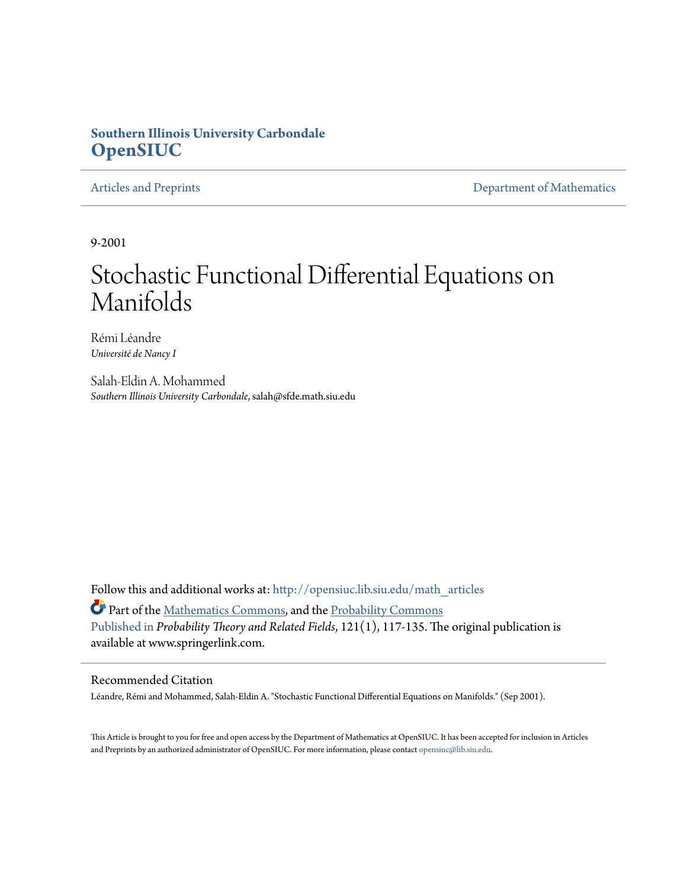# **Southern Illinois University Carbondale [OpenSIUC](http://opensiuc.lib.siu.edu?utm_source=opensiuc.lib.siu.edu%2Fmath_articles%2F53&utm_medium=PDF&utm_campaign=PDFCoverPages)**

[Articles and Preprints](http://opensiuc.lib.siu.edu/math_articles?utm_source=opensiuc.lib.siu.edu%2Fmath_articles%2F53&utm_medium=PDF&utm_campaign=PDFCoverPages) **[Department of Mathematics](http://opensiuc.lib.siu.edu/math?utm_source=opensiuc.lib.siu.edu%2Fmath_articles%2F53&utm_medium=PDF&utm_campaign=PDFCoverPages)** 

9-2001

# Stochastic Functional Differential Equations on Manifolds

Rémi Léandre *Université de Nancy I*

Salah-Eldin A. Mohammed *Southern Illinois University Carbondale*, salah@sfde.math.siu.edu

Follow this and additional works at: [http://opensiuc.lib.siu.edu/math\\_articles](http://opensiuc.lib.siu.edu/math_articles?utm_source=opensiuc.lib.siu.edu%2Fmath_articles%2F53&utm_medium=PDF&utm_campaign=PDFCoverPages)

Part of the [Mathematics Commons](http://network.bepress.com/hgg/discipline/174?utm_source=opensiuc.lib.siu.edu%2Fmath_articles%2F53&utm_medium=PDF&utm_campaign=PDFCoverPages), and the [Probability Commons](http://network.bepress.com/hgg/discipline/212?utm_source=opensiuc.lib.siu.edu%2Fmath_articles%2F53&utm_medium=PDF&utm_campaign=PDFCoverPages) [Published in](http://dx.doi.org/10.1007/PL00008795) *Probability Theory and Related Fields*, 121(1), 117-135. The original publication is available at www.springerlink.com.

## Recommended Citation

Léandre, Rémi and Mohammed, Salah-Eldin A. "Stochastic Functional Differential Equations on Manifolds." (Sep 2001).

This Article is brought to you for free and open access by the Department of Mathematics at OpenSIUC. It has been accepted for inclusion in Articles and Preprints by an authorized administrator of OpenSIUC. For more information, please contact [opensiuc@lib.siu.edu](mailto:opensiuc@lib.siu.edu).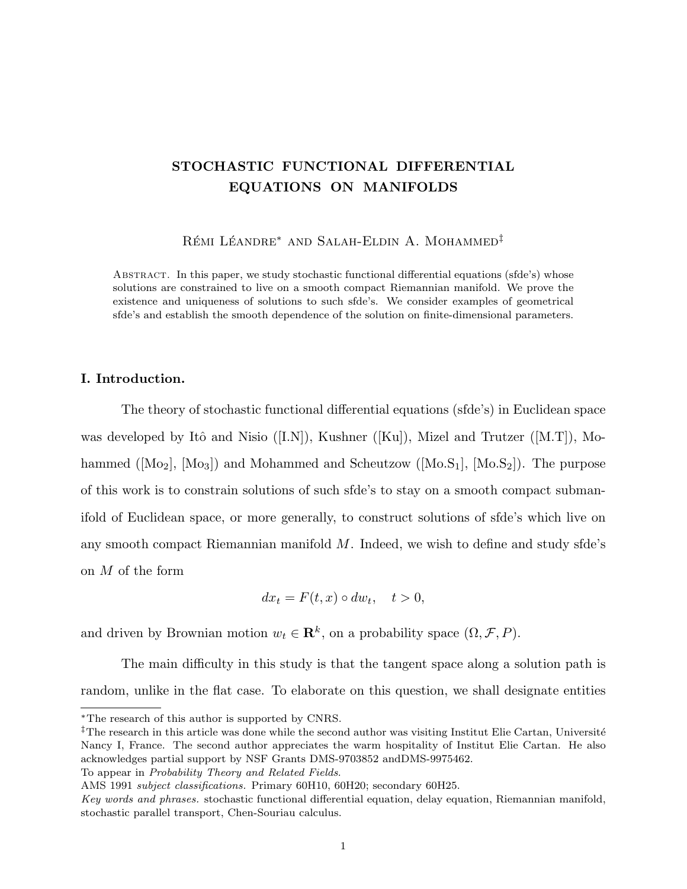## STOCHASTIC FUNCTIONAL DIFFERENTIAL EQUATIONS ON MANIFOLDS

Rémi Léandre<sup>\*</sup> and Salah-Eldin A. Mohammed<sup>‡</sup>

ABSTRACT. In this paper, we study stochastic functional differential equations (sfde's) whose solutions are constrained to live on a smooth compact Riemannian manifold. We prove the existence and uniqueness of solutions to such sfde's. We consider examples of geometrical sfde's and establish the smooth dependence of the solution on finite-dimensional parameters.

## I. Introduction.

The theory of stochastic functional differential equations (sfde's) in Euclidean space was developed by Itô and Nisio ([I.N]), Kushner ([Ku]), Mizel and Trutzer ([M.T]), Mohammed  $([Mo_2], [Mo_3])$  and Mohammed and Scheutzow  $([Mo.S_1], [Mo.S_2])$ . The purpose of this work is to constrain solutions of such sfde's to stay on a smooth compact submanifold of Euclidean space, or more generally, to construct solutions of sfde's which live on any smooth compact Riemannian manifold  $M$ . Indeed, we wish to define and study sfde's on M of the form

$$
dx_t = F(t, x) \circ dw_t, \quad t > 0,
$$

and driven by Brownian motion  $w_t \in \mathbb{R}^k$ , on a probability space  $(\Omega, \mathcal{F}, P)$ .

The main difficulty in this study is that the tangent space along a solution path is random, unlike in the flat case. To elaborate on this question, we shall designate entities

To appear in Probability Theory and Related Fields.

<sup>∗</sup>The research of this author is supported by CNRS.

<sup>&</sup>lt;sup>‡</sup>The research in this article was done while the second author was visiting Institut Elie Cartan, Université Nancy I, France. The second author appreciates the warm hospitality of Institut Elie Cartan. He also acknowledges partial support by NSF Grants DMS-9703852 andDMS-9975462.

AMS 1991 subject classifications. Primary 60H10, 60H20; secondary 60H25.

Key words and phrases. stochastic functional differential equation, delay equation, Riemannian manifold, stochastic parallel transport, Chen-Souriau calculus.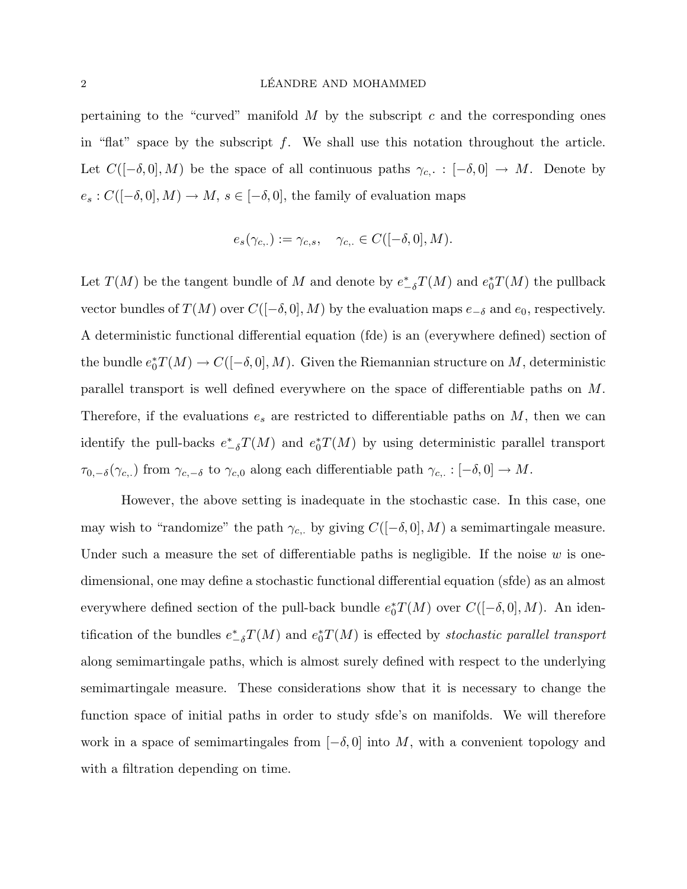pertaining to the "curved" manifold  $M$  by the subscript  $c$  and the corresponding ones in "flat" space by the subscript  $f$ . We shall use this notation throughout the article. Let  $C([-\delta, 0], M)$  be the space of all continuous paths  $\gamma_{c,} : [-\delta, 0] \to M$ . Denote by  $e_s: C([-\delta, 0], M) \to M, \, s \in [-\delta, 0],$  the family of evaluation maps

$$
e_s(\gamma_{c,.}) := \gamma_{c,s}, \quad \gamma_{c,.} \in C([-\delta, 0], M).
$$

Let  $T(M)$  be the tangent bundle of M and denote by  $e_{-\delta}^* T(M)$  and  $e_0^* T(M)$  the pullback vector bundles of  $T(M)$  over  $C([-\delta, 0], M)$  by the evaluation maps  $e_{-\delta}$  and  $e_0$ , respectively. A deterministic functional differential equation (fde) is an (everywhere defined) section of the bundle  $e_0^*T(M) \to C([-\delta, 0], M)$ . Given the Riemannian structure on M, deterministic parallel transport is well defined everywhere on the space of differentiable paths on M. Therefore, if the evaluations  $e_s$  are restricted to differentiable paths on  $M$ , then we can identify the pull-backs  $e_{-\delta}^* T(M)$  and  $e_0^* T(M)$  by using deterministic parallel transport  $\tau_{0,-\delta}(\gamma_{c,.})$  from  $\gamma_{c,-\delta}$  to  $\gamma_{c,0}$  along each differentiable path  $\gamma_{c,.}:[-\delta,0]\to M$ .

However, the above setting is inadequate in the stochastic case. In this case, one may wish to "randomize" the path  $\gamma_{c,.}$  by giving  $C([-\delta, 0], M)$  a semimartingale measure. Under such a measure the set of differentiable paths is negligible. If the noise  $w$  is onedimensional, one may define a stochastic functional differential equation (sfde) as an almost everywhere defined section of the pull-back bundle  $e_0^*T(M)$  over  $C([-\delta, 0], M)$ . An identification of the bundles  $e_{-\delta}^* T(M)$  and  $e_0^* T(M)$  is effected by *stochastic parallel transport* along semimartingale paths, which is almost surely defined with respect to the underlying semimartingale measure. These considerations show that it is necessary to change the function space of initial paths in order to study sfde's on manifolds. We will therefore work in a space of semimartingales from  $[-\delta, 0]$  into M, with a convenient topology and with a filtration depending on time.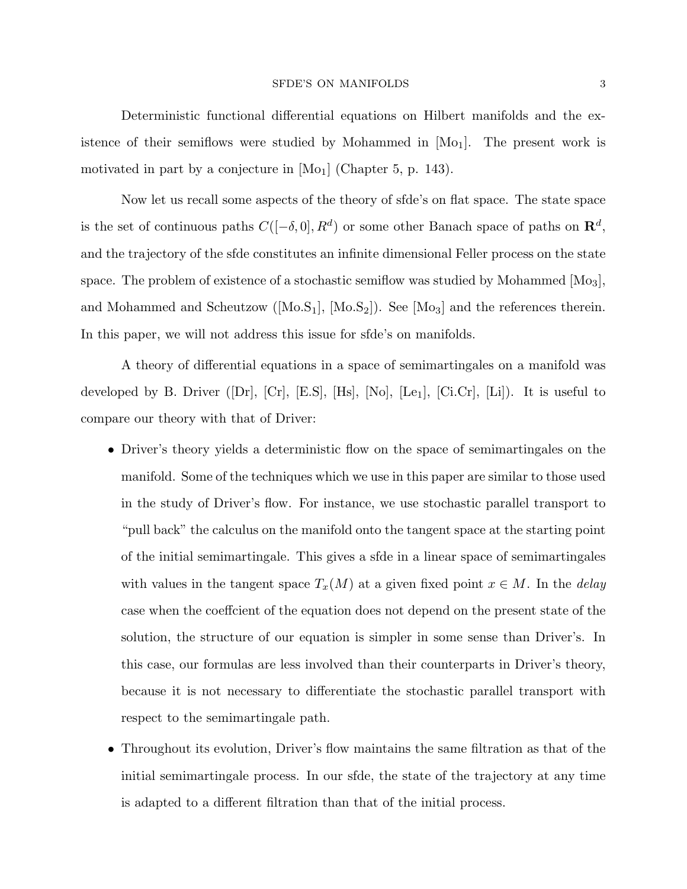Deterministic functional differential equations on Hilbert manifolds and the existence of their semiflows were studied by Mohammed in  $[M<sub>o<sub>1</sub></sub>]$ . The present work is motivated in part by a conjecture in  $[M<sub>o<sub>1</sub></sub>]$  (Chapter 5, p. 143).

Now let us recall some aspects of the theory of sfde's on flat space. The state space is the set of continuous paths  $C([-\delta, 0], R^d)$  or some other Banach space of paths on  $\mathbb{R}^d$ , and the trajectory of the sfde constitutes an infinite dimensional Feller process on the state space. The problem of existence of a stochastic semiflow was studied by Mohammed  $[M_03]$ , and Mohammed and Scheutzow ( $[Mo.S_1]$ ,  $[Mo.S_2]$ ). See  $[Mo_3]$  and the references therein. In this paper, we will not address this issue for sfde's on manifolds.

A theory of differential equations in a space of semimartingales on a manifold was developed by B. Driver ([Dr],  $[Cr]$ ,  $[Es]$ ,  $[Hs]$ ,  $[No]$ ,  $[Le_1]$ ,  $[Ci.Cr]$ ,  $[Li]$ ). It is useful to compare our theory with that of Driver:

- Driver's theory yields a deterministic flow on the space of semimartingales on the manifold. Some of the techniques which we use in this paper are similar to those used in the study of Driver's flow. For instance, we use stochastic parallel transport to "pull back" the calculus on the manifold onto the tangent space at the starting point of the initial semimartingale. This gives a sfde in a linear space of semimartingales with values in the tangent space  $T_x(M)$  at a given fixed point  $x \in M$ . In the *delay* case when the coeffcient of the equation does not depend on the present state of the solution, the structure of our equation is simpler in some sense than Driver's. In this case, our formulas are less involved than their counterparts in Driver's theory, because it is not necessary to differentiate the stochastic parallel transport with respect to the semimartingale path.
- Throughout its evolution, Driver's flow maintains the same filtration as that of the initial semimartingale process. In our sfde, the state of the trajectory at any time is adapted to a different filtration than that of the initial process.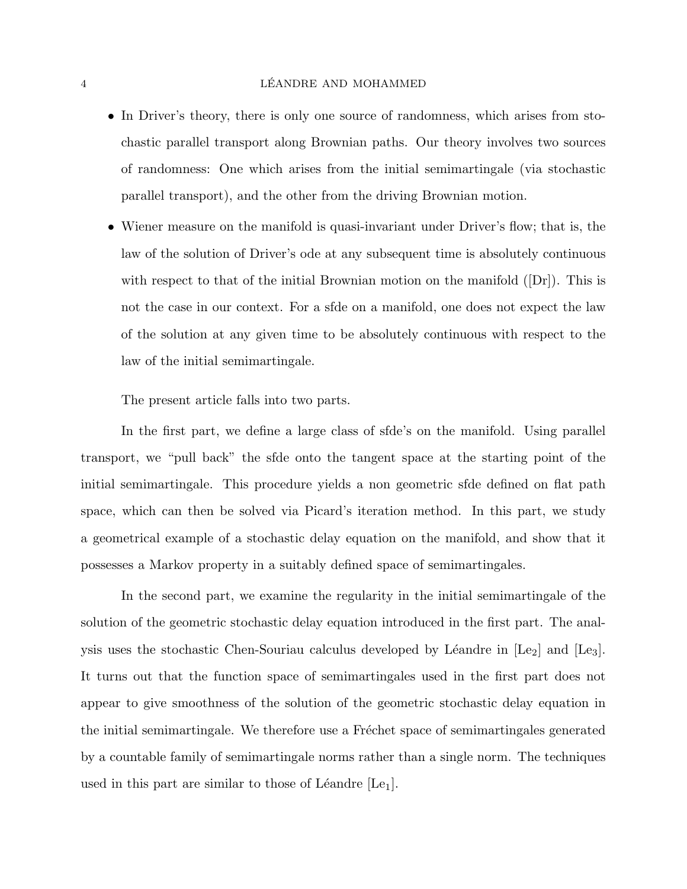## 4 LÉANDRE AND MOHAMMED

- In Driver's theory, there is only one source of randomness, which arises from stochastic parallel transport along Brownian paths. Our theory involves two sources of randomness: One which arises from the initial semimartingale (via stochastic parallel transport), and the other from the driving Brownian motion.
- Wiener measure on the manifold is quasi-invariant under Driver's flow; that is, the law of the solution of Driver's ode at any subsequent time is absolutely continuous with respect to that of the initial Brownian motion on the manifold  $(|Dr|)$ . This is not the case in our context. For a sfde on a manifold, one does not expect the law of the solution at any given time to be absolutely continuous with respect to the law of the initial semimartingale.

The present article falls into two parts.

In the first part, we define a large class of sfde's on the manifold. Using parallel transport, we "pull back" the sfde onto the tangent space at the starting point of the initial semimartingale. This procedure yields a non geometric sfde defined on flat path space, which can then be solved via Picard's iteration method. In this part, we study a geometrical example of a stochastic delay equation on the manifold, and show that it possesses a Markov property in a suitably defined space of semimartingales.

In the second part, we examine the regularity in the initial semimartingale of the solution of the geometric stochastic delay equation introduced in the first part. The analysis uses the stochastic Chen-Souriau calculus developed by Léandre in  $[Le_2]$  and  $[Le_3]$ . It turns out that the function space of semimartingales used in the first part does not appear to give smoothness of the solution of the geometric stochastic delay equation in the initial semimartingale. We therefore use a Fréchet space of semimartingales generated by a countable family of semimartingale norms rather than a single norm. The techniques used in this part are similar to those of Léandre  $[Le_1]$ .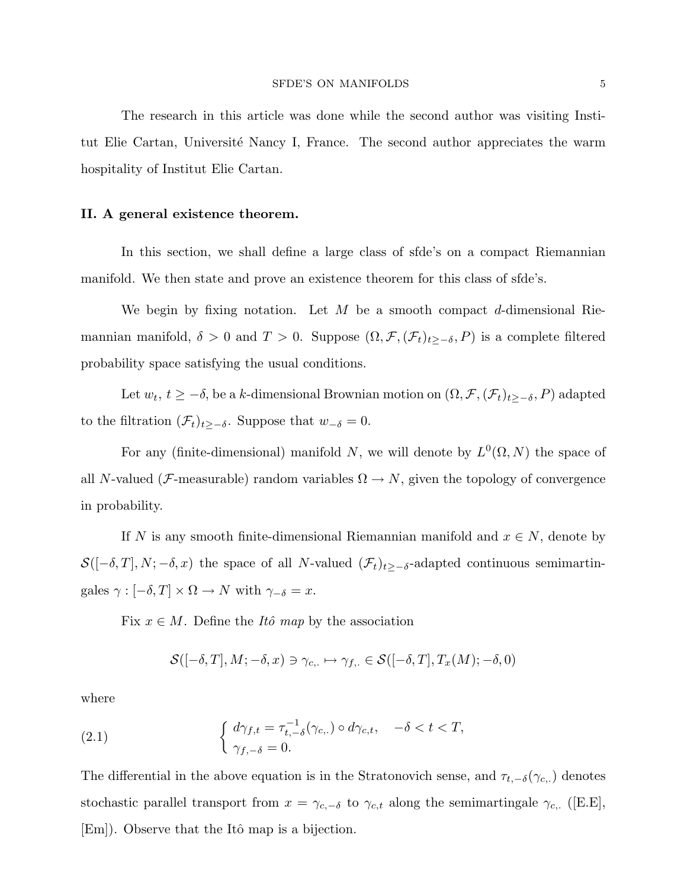The research in this article was done while the second author was visiting Institut Elie Cartan, Université Nancy I, France. The second author appreciates the warm hospitality of Institut Elie Cartan.

## II. A general existence theorem.

In this section, we shall define a large class of sfde's on a compact Riemannian manifold. We then state and prove an existence theorem for this class of sfde's.

We begin by fixing notation. Let  $M$  be a smooth compact  $d$ -dimensional Riemannian manifold,  $\delta > 0$  and  $T > 0$ . Suppose  $(\Omega, \mathcal{F}, (\mathcal{F}_t)_{t\geq -\delta}, P)$  is a complete filtered probability space satisfying the usual conditions.

Let  $w_t$ ,  $t \geq -\delta$ , be a k-dimensional Brownian motion on  $(\Omega, \mathcal{F}, (\mathcal{F}_t)_{t \geq -\delta}, P)$  adapted to the filtration  $(\mathcal{F}_t)_{t\geq -\delta}$ . Suppose that  $w_{-\delta} = 0$ .

For any (finite-dimensional) manifold N, we will denote by  $L^0(\Omega, N)$  the space of all N-valued (*F*-measurable) random variables  $\Omega \to N$ , given the topology of convergence in probability.

If N is any smooth finite-dimensional Riemannian manifold and  $x \in N$ , denote by  $\mathcal{S}([-\delta,T], N; -\delta, x)$  the space of all N-valued  $(\mathcal{F}_t)_{t\geq -\delta}$ -adapted continuous semimartingales  $\gamma : [-\delta, T] \times \Omega \to N$  with  $\gamma_{-\delta} = x$ .

Fix  $x \in M$ . Define the *Itô map* by the association

$$
\mathcal{S}([-\delta,T],M;-\delta,x) \ni \gamma_{c,.} \mapsto \gamma_{f,.} \in \mathcal{S}([-\delta,T],T_x(M);-\delta,0)
$$

where

(2.1) 
$$
\begin{cases} d\gamma_{f,t} = \tau_{t,-\delta}^{-1}(\gamma_{c,.}) \circ d\gamma_{c,t}, & -\delta < t < T, \\ \gamma_{f,-\delta} = 0. \end{cases}
$$

The differential in the above equation is in the Stratonovich sense, and  $\tau_{t,-\delta}(\gamma_{c,\cdot})$  denotes stochastic parallel transport from  $x = \gamma_{c,-\delta}$  to  $\gamma_{c,t}$  along the semimartingale  $\gamma_{c,+}$  ([E.E], [Em]). Observe that the Itô map is a bijection.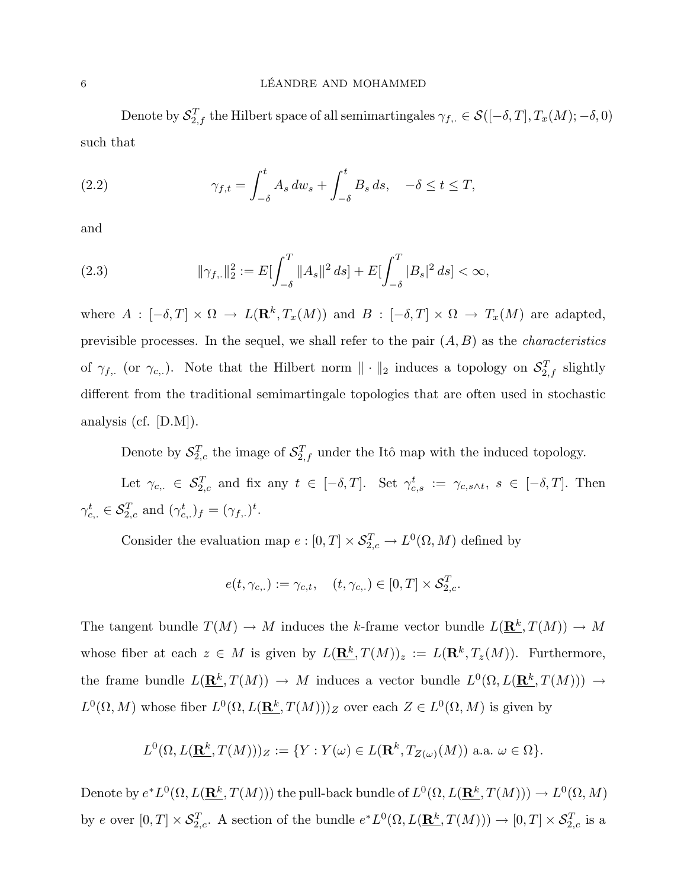Denote by  $\mathcal{S}_{2,f}^T$  the Hilbert space of all semimartingales  $\gamma_{f,\cdot} \in \mathcal{S}([-\delta,T],T_x(M);-\delta,0)$ such that

(2.2) 
$$
\gamma_{f,t} = \int_{-\delta}^{t} A_s dw_s + \int_{-\delta}^{t} B_s ds, \quad -\delta \le t \le T,
$$

and

(2.3) 
$$
\|\gamma_{f,\cdot}\|_2^2 := E[\int_{-\delta}^T \|A_s\|^2 ds] + E[\int_{-\delta}^T |B_s|^2 ds] < \infty,
$$

where  $A: [-\delta, T] \times \Omega \to L(\mathbf{R}^k, T_x(M))$  and  $B: [-\delta, T] \times \Omega \to T_x(M)$  are adapted, previsible processes. In the sequel, we shall refer to the pair  $(A, B)$  as the *characteristics* of  $\gamma_{f,\dots}$  (or  $\gamma_{c,\dots}$ ). Note that the Hilbert norm  $\|\cdot\|_2$  induces a topology on  $\mathcal{S}_{2,f}^T$  slightly different from the traditional semimartingale topologies that are often used in stochastic analysis (cf. [D.M]).

Denote by  $S_{2,c}^T$  the image of  $S_{2,f}^T$  under the Itô map with the induced topology.

Let  $\gamma_{c,\cdot} \in \mathcal{S}_{2,c}^T$  and fix any  $t \in [-\delta,T]$ . Set  $\gamma_{c,s}^t := \gamma_{c,s \wedge t}, s \in [-\delta,T]$ . Then  $\gamma_{c,.}^t \in \mathcal{S}_{2,c}^T$  and  $(\gamma_{c,.}^t)_f = (\gamma_{f,.})^t$ .

Consider the evaluation map  $e: [0, T] \times \mathcal{S}_{2,c}^T \to L^0(\Omega, M)$  defined by

$$
e(t, \gamma_{c,.}) := \gamma_{c,t}, \quad (t, \gamma_{c,.}) \in [0, T] \times \mathcal{S}_{2,c}^T.
$$

The tangent bundle  $T(M) \to M$  induces the k-frame vector bundle  $L(\mathbf{R}^k, T(M)) \to M$ whose fiber at each  $z \in M$  is given by  $L(\mathbf{R}^k, T(M))_z := L(\mathbf{R}^k, T_z(M))$ . Furthermore, the frame bundle  $L(\mathbf{R}^k, T(M)) \to M$  induces a vector bundle  $L^0(\Omega, L(\mathbf{R}^k, T(M))) \to$  $L^0(\Omega, M)$  whose fiber  $L^0(\Omega, L(\mathbf{R}^k, T(M)))_Z$  over each  $Z \in L^0(\Omega, M)$  is given by

$$
L^{0}(\Omega, L(\mathbf{R}^{k}, T(M)))_{Z} := \{ Y : Y(\omega) \in L(\mathbf{R}^{k}, T_{Z(\omega)}(M)) \text{ a.a. } \omega \in \Omega \}.
$$

Denote by  $e^*L^0(\Omega, L(\mathbf{R}^k, T(M)))$  the pull-back bundle of  $L^0(\Omega, L(\mathbf{R}^k, T(M))) \to L^0(\Omega, M)$ by e over  $[0,T] \times \mathcal{S}_{2,c}^T$ . A section of the bundle  $e^*L^0(\Omega, L(\mathbf{R}^k, T(M))) \to [0,T] \times \mathcal{S}_{2,c}^T$  is a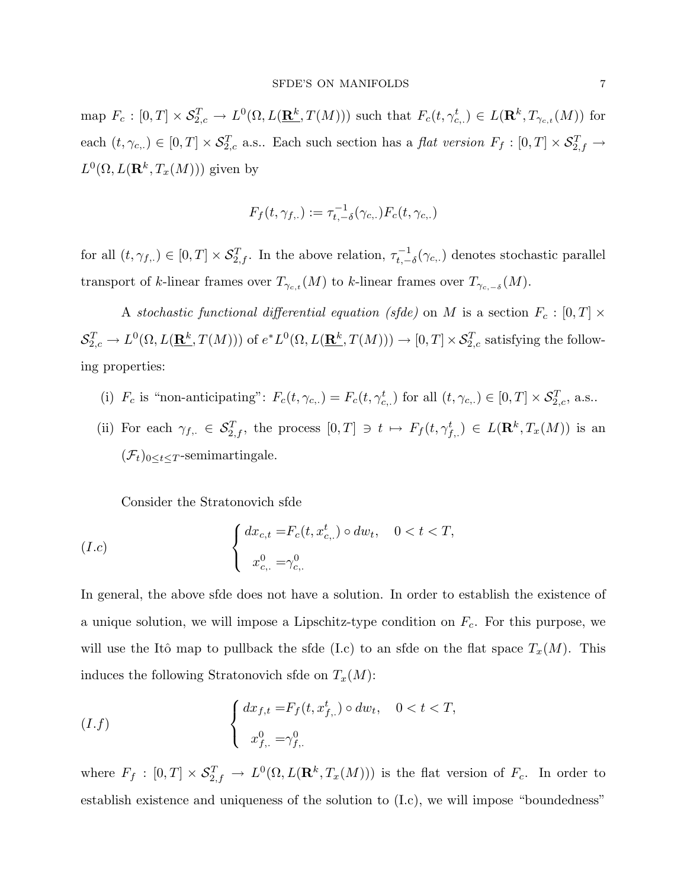map  $F_c : [0,T] \times \mathcal{S}_{2,c}^T \to L^0(\Omega, L(\mathbf{R}^k, T(M)))$  such that  $F_c(t, \gamma_{c,\cdot}^t) \in L(\mathbf{R}^k, T_{\gamma_{c,t}}(M))$  for each  $(t, \gamma_{c,.}) \in [0,T] \times \mathcal{S}_{2,c}^T$  a.s.. Each such section has a flat version  $F_f : [0,T] \times \mathcal{S}_{2,f}^T \to$  $L^0(\Omega, L(\mathbf{R}^k, T_x(M)))$  given by

$$
F_f(t, \gamma_{f,\cdot}) := \tau_{t,-\delta}^{-1}(\gamma_{c,\cdot}) F_c(t, \gamma_{c,\cdot})
$$

for all  $(t, \gamma_{f, .}) \in [0, T] \times \mathcal{S}_{2, f}^T$ . In the above relation,  $\tau_{t, -}^{-1}$  $t_{t,-\delta}^{-1}(\gamma_{c,\cdot})$  denotes stochastic parallel transport of k-linear frames over  $T_{\gamma_{c,t}}(M)$  to k-linear frames over  $T_{\gamma_{c,-\delta}}(M)$ .

A stochastic functional differential equation (sfde) on M is a section  $F_c : [0, T] \times$  $\mathcal{S}_{2,c}^T\to L^0(\Omega,L(\mathbf{\mathbf{\underline{R}}^k},T(M)))$  of  $e^*L^0(\Omega,L(\mathbf{\mathbf{\underline{R}^k}},T(M)))\to[0,T]\times\mathcal{S}_{2,c}^T$  satisfying the following properties:

- (i)  $F_c$  is "non-anticipating":  $F_c(t, \gamma_{c,.}) = F_c(t, \gamma_{c,.}^t)$  for all  $(t, \gamma_{c,.}) \in [0, T] \times S_{2,c}^T$ , a.s..
- (ii) For each  $\gamma_{f, \cdot} \in \mathcal{S}_{2, f}^T$ , the process  $[0, T] \ni t \mapsto F_f(t, \gamma_{f, \cdot}^t) \in L(\mathbf{R}^k, T_x(M))$  is an  $(\mathcal{F}_t)_{0 \leq t \leq T}$ -semimartingale.

Consider the Stratonovich sfde

(1.c) 
$$
\begin{cases} dx_{c,t} = F_c(t, x_{c, \cdot}^t) \circ dw_t, & 0 < t < T, \\ x_{c, \cdot}^0 = \gamma_{c, \cdot}^0 \end{cases}
$$

In general, the above sfde does not have a solution. In order to establish the existence of a unique solution, we will impose a Lipschitz-type condition on  $F_c$ . For this purpose, we will use the Itô map to pullback the sfde (I.c) to an sfde on the flat space  $T_x(M)$ . This induces the following Stratonovich sfde on  $T_x(M)$ :

$$
(I.f) \qquad \qquad \left\{ \begin{array}{ll} dx_{f,t} = F_f(t, x_{f,\cdot}^t) \circ dw_t, & 0 < t < T, \\ x_{f,\cdot}^0 = \gamma_{f,\cdot}^0 \end{array} \right.
$$

where  $F_f : [0,T] \times \mathcal{S}_{2,f}^T \to L^0(\Omega, L(\mathbf{R}^k, T_x(M)))$  is the flat version of  $F_c$ . In order to establish existence and uniqueness of the solution to (I.c), we will impose "boundedness"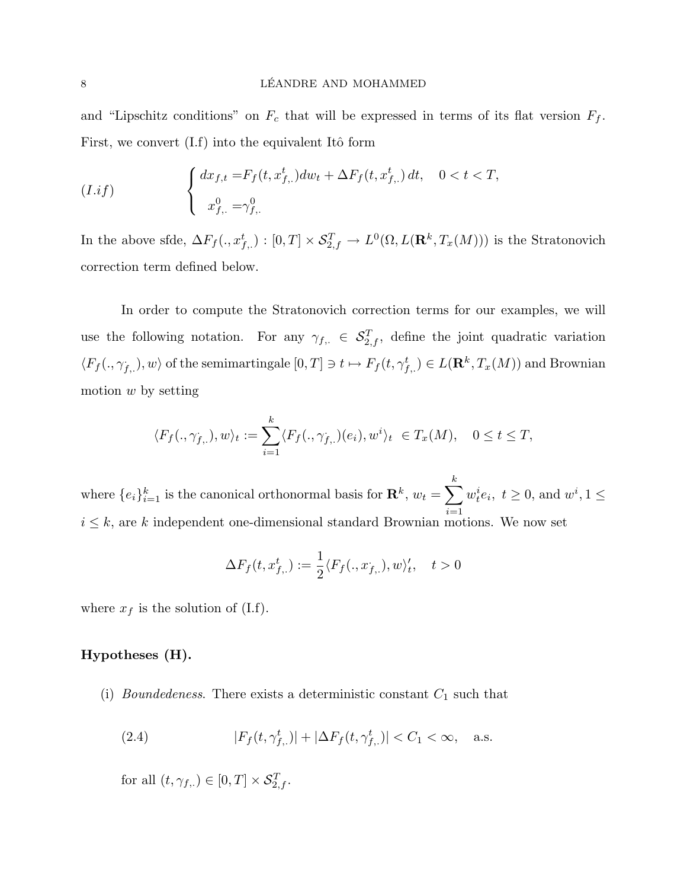and "Lipschitz conditions" on  $F_c$  that will be expressed in terms of its flat version  $F_f$ . First, we convert  $(I.f)$  into the equivalent Itô form

(1.if) 
$$
\begin{cases} dx_{f,t} = F_f(t, x_{f,\cdot}^t) dw_t + \Delta F_f(t, x_{f,\cdot}^t) dt, & 0 < t < T, \\ x_{f,\cdot}^0 = \gamma_{f,\cdot}^0 \end{cases}
$$

In the above sfde,  $\Delta F_f(., x_{f,.}^t) : [0, T] \times S_{2,f}^T \to L^0(\Omega, L(\mathbf{R}^k, T_x(M)))$  is the Stratonovich correction term defined below.

In order to compute the Stratonovich correction terms for our examples, we will use the following notation. For any  $\gamma_{f,\cdot} \in \mathcal{S}_{2,f}^T$ , define the joint quadratic variation  $\langle F_f(.,\gamma_{f,.}),w\rangle$  of the semimartingale  $[0,T]\ni t\mapsto F_f(t,\gamma_{f,.}^t)\in L(\mathbf{R}^k,T_x(M))$  and Brownian motion  $w$  by setting

$$
\langle F_f(.,\gamma_{f,.}),w\rangle_t := \sum_{i=1}^k \langle F_f(.,\gamma_{f,.})(e_i),w^i\rangle_t \ \in T_x(M), \quad 0 \le t \le T,
$$

where  $\{e_i\}_{i=1}^k$  is the canonical orthonormal basis for  $\mathbf{R}^k$ ,  $w_t =$  $\frac{k}{\sqrt{2}}$  $i=1$  $w_t^i e_i, t \geq 0$ , and  $w^i, 1 \leq$  $i \leq k$ , are k independent one-dimensional standard Brownian motions. We now set

$$
\Delta F_f(t, x_{f,\cdot}^t) := \frac{1}{2} \langle F_f(.,x_{f,\cdot}), w \rangle_t', \quad t > 0
$$

where  $x_f$  is the solution of (I.f).

## Hypotheses (H).

(i) *Boundedeness*. There exists a deterministic constant  $C_1$  such that

(2.4) 
$$
|F_f(t, \gamma_{f, .}^t)| + |\Delta F_f(t, \gamma_{f, .}^t)| < C_1 < \infty, \quad \text{a.s.}
$$

for all  $(t, \gamma_{f, .}) \in [0, T] \times \mathcal{S}_{2, f}^T$ .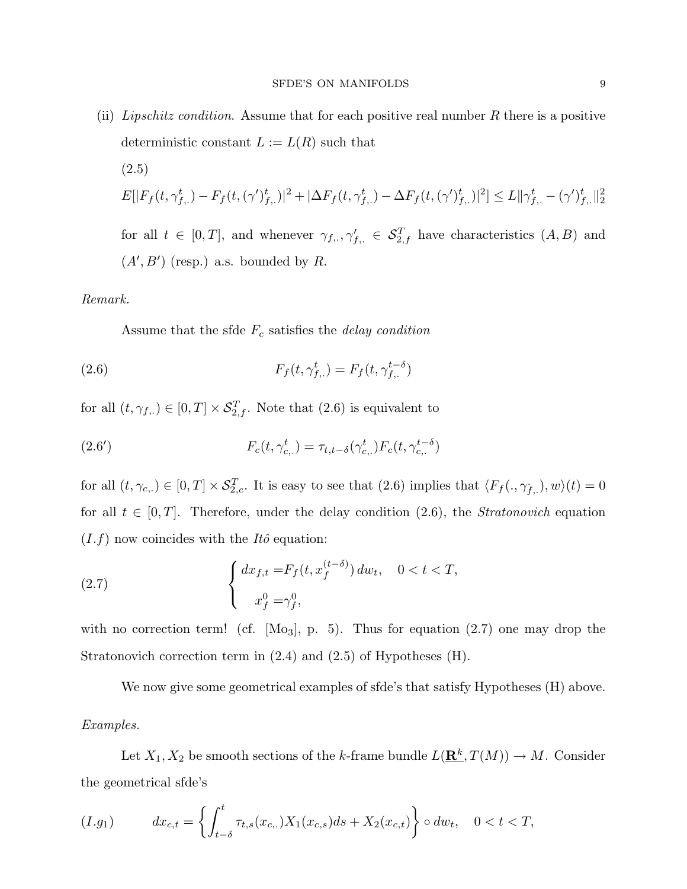(ii) Lipschitz condition. Assume that for each positive real number R there is a positive deterministic constant  $L := L(R)$  such that (2.5)  $E[|F_f(t, \gamma_{f, \cdot}^t) - F_f(t, (\gamma')_{f, \cdot}^t)|^2 + |\Delta F_f(t, \gamma_{f, \cdot}^t) - \Delta F_f(t, (\gamma')_{f, \cdot}^t)|^2] \leq L ||\gamma_{f, \cdot}^t - (\gamma')_{f, \cdot}^t||_2^2$ for all  $t \in [0,T]$ , and whenever  $\gamma_{f,\cdot}, \gamma'_{f,\cdot} \in \mathcal{S}_{2,f}^T$  have characteristics  $(A, B)$  and  $(A', B')$  (resp.) a.s. bounded by R.

## Remark.

Assume that the sfde  $F_c$  satisfies the *delay condition* 

(2.6) 
$$
F_f(t, \gamma_{f, \cdot}^t) = F_f(t, \gamma_{f, \cdot}^{t - \delta})
$$

for all  $(t, \gamma_{f, .}) \in [0, T] \times S_{2, f}^T$ . Note that  $(2.6)$  is equivalent to

(2.6') 
$$
F_c(t, \gamma_{c,.}^t) = \tau_{t, t-\delta}(\gamma_{c,.}^t) F_c(t, \gamma_{c,.}^{t-\delta})
$$

for all  $(t, \gamma_{c,1}) \in [0, T] \times \mathcal{S}_{2,c}^T$ . It is easy to see that  $(2.6)$  implies that  $\langle F_f(., \gamma_{f,1}), w \rangle(t) = 0$ for all  $t \in [0, T]$ . Therefore, under the delay condition (2.6), the *Stratonovich* equation  $(I.f)$  now coincides with the *Itô* equation:

(2.7) 
$$
\begin{cases} dx_{f,t} = F_f(t, x_f^{(t-\delta)}) dw_t, & 0 < t < T, \\ x_f^0 = \gamma_f^0, \end{cases}
$$

with no correction term! (cf.  $[M_03], p. 5$ ). Thus for equation  $(2.7)$  one may drop the Stratonovich correction term in (2.4) and (2.5) of Hypotheses (H).

We now give some geometrical examples of sfde's that satisfy Hypotheses (H) above. Examples.

Let  $X_1, X_2$  be smooth sections of the k-frame bundle  $L(\mathbf{R}^k, T(M)) \to M$ . Consider the geometrical sfde's

$$
(I.g_1) \t dx_{c,t} = \left\{ \int_{t-\delta}^t \tau_{t,s}(x_{c,.}) X_1(x_{c,s}) ds + X_2(x_{c,t}) \right\} \circ dw_t, \quad 0 < t < T,
$$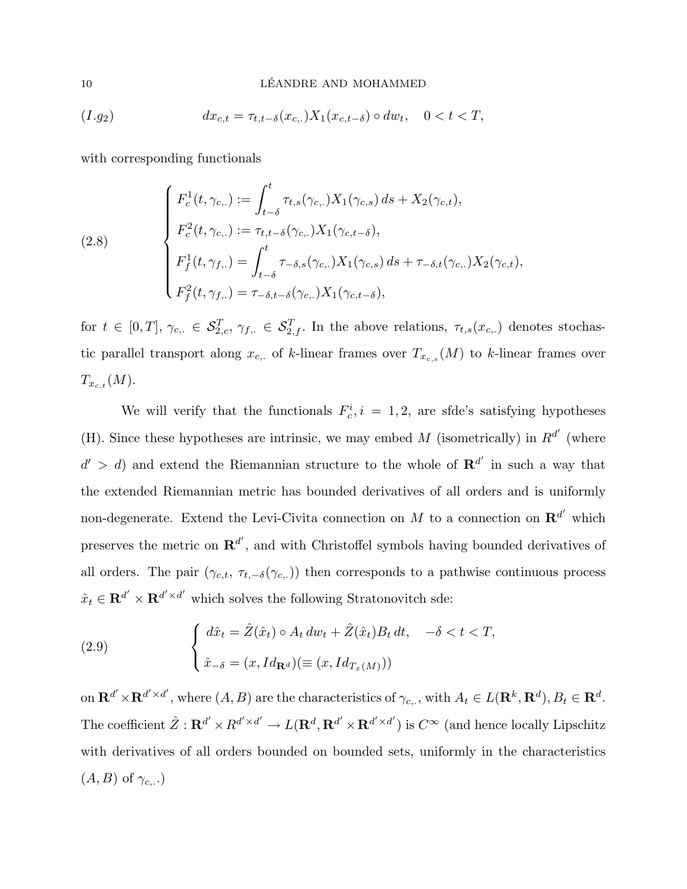#### 10 LÉANDRE AND MOHAMMED

$$
(I.g_2) \t dx_{c,t} = \tau_{t,t-\delta}(x_{c,.})X_1(x_{c,t-\delta}) \circ dw_t, \quad 0 < t < T,
$$

with corresponding functionals

(2.8)  
\n
$$
\begin{cases}\nF_c^1(t, \gamma_{c,.}) := \int_{t-\delta}^t \tau_{t,s}(\gamma_{c,.}) X_1(\gamma_{c,s}) ds + X_2(\gamma_{c,t}), \\
F_c^2(t, \gamma_{c,.}) := \tau_{t,t-\delta}(\gamma_{c,.}) X_1(\gamma_{c,t-\delta}), \\
F_f^1(t, \gamma_{f,.}) = \int_{t-\delta}^t \tau_{-\delta,s}(\gamma_{c,.}) X_1(\gamma_{c,s}) ds + \tau_{-\delta,t}(\gamma_{c,.}) X_2(\gamma_{c,t}), \\
F_f^2(t, \gamma_{f,.}) = \tau_{-\delta,t-\delta}(\gamma_{c,.}) X_1(\gamma_{c,t-\delta}),\n\end{cases}
$$

for  $t \in [0,T], \gamma_{c,.} \in \mathcal{S}_{2,c}^T, \gamma_{f,.} \in \mathcal{S}_{2,f}^T$ . In the above relations,  $\tau_{t,s}(x_{c,.})$  denotes stochastic parallel transport along  $x_{c}$ , of k-linear frames over  $T_{x_{c,s}}(M)$  to k-linear frames over  $T_{x_{c,t}}(M).$ 

We will verify that the functionals  $F_c^i$ ,  $i = 1, 2$ , are sfde's satisfying hypotheses (H). Since these hypotheses are intrinsic, we may embed M (isometrically) in  $R^{d'}$  (where  $d' > d$  and extend the Riemannian structure to the whole of  $\mathbb{R}^{d'}$  in such a way that the extended Riemannian metric has bounded derivatives of all orders and is uniformly non-degenerate. Extend the Levi-Civita connection on M to a connection on  $\mathbb{R}^{d'}$  which preserves the metric on  $\mathbb{R}^{d'}$ , and with Christoffel symbols having bounded derivatives of all orders. The pair  $(\gamma_{c,t}, \tau_{t,-\delta}(\gamma_{c,.}))$  then corresponds to a pathwise continuous process  $\hat{x}_t \in \mathbf{R}^{d'} \times \mathbf{R}^{d' \times d'}$  which solves the following Stratonovitch sde:

(2.9) 
$$
\begin{cases} d\hat{x}_t = \hat{Z}(\hat{x}_t) \circ A_t dw_t + \hat{Z}(\hat{x}_t) B_t dt, & -\delta < t < T, \\ \hat{x}_{-\delta} = (x, Id_{\mathbf{R}^d}) (\equiv (x, Id_{T_x(M)})) \end{cases}
$$

on  $\mathbf{R}^{d'} \times \mathbf{R}^{d' \times d'}$ , where  $(A, B)$  are the characteristics of  $\gamma_{c, \cdot}$ , with  $A_t \in L(\mathbf{R}^k, \mathbf{R}^d)$ ,  $B_t \in \mathbf{R}^d$ . The coefficient  $\hat{Z}: \mathbf{R}^{d'} \times R^{d' \times d'} \to L(\mathbf{R}^d, \mathbf{R}^{d'} \times \mathbf{R}^{d' \times d'})$  is  $C^{\infty}$  (and hence locally Lipschitz with derivatives of all orders bounded on bounded sets, uniformly in the characteristics  $(A, B)$  of  $\gamma_{c, \ldots}$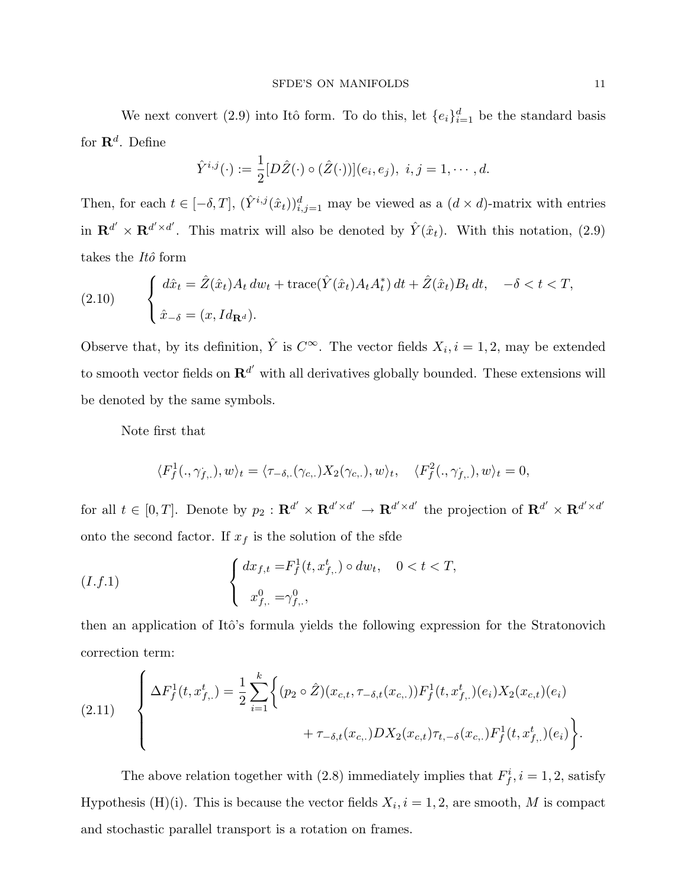We next convert (2.9) into Itô form. To do this, let  $\{e_i\}_{i=1}^d$  be the standard basis for  $\mathbf{R}^d$ . Define

$$
\hat{Y}^{i,j}(\cdot) := \frac{1}{2} [D\hat{Z}(\cdot) \circ (\hat{Z}(\cdot))](e_i, e_j), \ i, j = 1, \cdots, d.
$$

Then, for each  $t \in [-\delta, T]$ ,  $(\hat{Y}^{i,j}(\hat{x}_t))_{i,j=1}^d$  may be viewed as a  $(d \times d)$ -matrix with entries in  $\mathbf{R}^{d'} \times \mathbf{R}^{d' \times d'}$ . This matrix will also be denoted by  $\hat{Y}(\hat{x}_t)$ . With this notation, (2.9) takes the  $It\hat{o}$  form

(2.10) 
$$
\begin{cases} d\hat{x}_t = \hat{Z}(\hat{x}_t)A_t dw_t + \text{trace}(\hat{Y}(\hat{x}_t)A_t A_t^*) dt + \hat{Z}(\hat{x}_t)B_t dt, -\delta < t < T, \\ \hat{x}_{-\delta} = (x, Id_{\mathbf{R}^d}). \end{cases}
$$

Observe that, by its definition,  $\hat{Y}$  is  $C^{\infty}$ . The vector fields  $X_i, i = 1, 2$ , may be extended to smooth vector fields on  $\mathbf{R}^{d'}$  with all derivatives globally bounded. These extensions will be denoted by the same symbols.

Note first that

$$
\langle F_f^1(.,\gamma_{f,.}),w\rangle_t = \langle \tau_{-\delta,.}(\gamma_{c,.})X_2(\gamma_{c,.}),w\rangle_t, \quad \langle F_f^2(.,\gamma_{f,.}),w\rangle_t = 0,
$$

for all  $t \in [0,T]$ . Denote by  $p_2: \mathbf{R}^{d'} \times \mathbf{R}^{d' \times d'} \to \mathbf{R}^{d' \times d'}$  the projection of  $\mathbf{R}^{d'} \times \mathbf{R}^{d' \times d'}$ onto the second factor. If  $x_f$  is the solution of the sfde

$$
(I.f.1) \qquad \qquad \left\{ \begin{array}{ll} dx_{f,t} = & F_f^1(t, x_{f,.}^t) \circ dw_t, & 0 < t < T, \\ & \\ x_{f,.}^0 = & \gamma_{f,.}^0, \end{array} \right.
$$

then an application of Itô's formula yields the following expression for the Stratonovich correction term:

(2.11) 
$$
\begin{cases} \Delta F_f^1(t, x_{f,\cdot}^t) = \frac{1}{2} \sum_{i=1}^k \Big\{ (p_2 \circ \hat{Z}) (x_{c,t}, \tau_{-\delta,t}(x_{c,\cdot})) F_f^1(t, x_{f,\cdot}^t) (e_i) X_2(x_{c,t}) (e_i) \\qquad \qquad + \tau_{-\delta,t}(x_{c,\cdot}) DX_2(x_{c,t}) \tau_{t,-\delta}(x_{c,\cdot}) F_f^1(t, x_{f,\cdot}^t) (e_i) \Big\} .\end{cases}
$$

The above relation together with (2.8) immediately implies that  $F_f^i$ ,  $i = 1, 2$ , satisfy Hypothesis (H)(i). This is because the vector fields  $X_i$ ,  $i = 1, 2$ , are smooth, M is compact and stochastic parallel transport is a rotation on frames.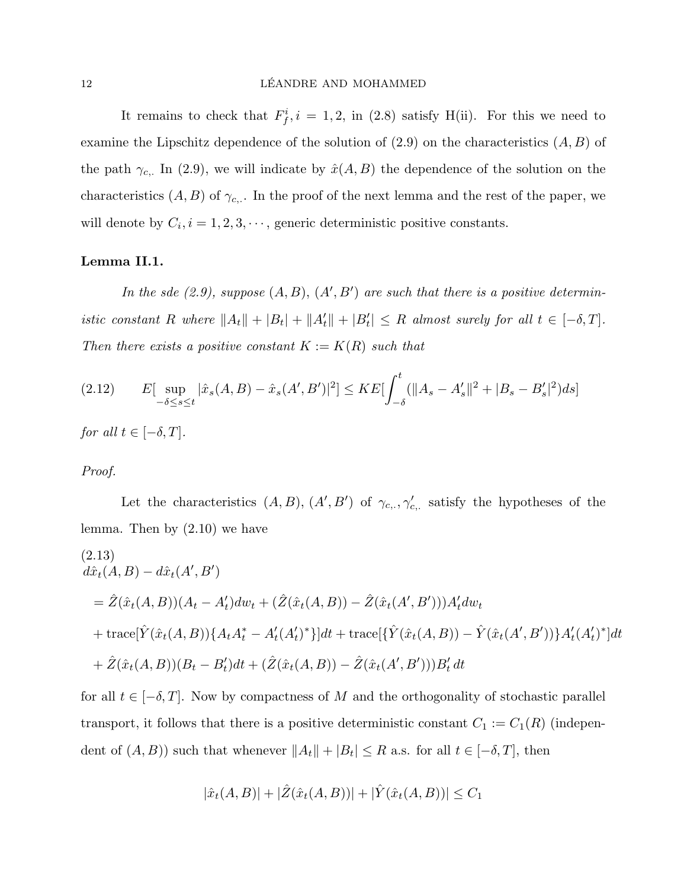It remains to check that  $F_f^i$ ,  $i = 1, 2$ , in (2.8) satisfy H(ii). For this we need to examine the Lipschitz dependence of the solution of  $(2.9)$  on the characteristics  $(A, B)$  of the path  $\gamma_{c}$ . In (2.9), we will indicate by  $\hat{x}(A, B)$  the dependence of the solution on the characteristics  $(A, B)$  of  $\gamma_{c}$ . In the proof of the next lemma and the rest of the paper, we will denote by  $C_i$ ,  $i = 1, 2, 3, \dots$ , generic deterministic positive constants.

## Lemma II.1.

In the sde  $(2.9)$ , suppose  $(A, B), (A', B')$  are such that there is a positive deterministic constant R where  $||A_t|| + |B_t| + ||A'_t|| + |B'_t| \leq R$  almost surely for all  $t \in [-\delta, T]$ . Then there exists a positive constant  $K := K(R)$  such that

$$
(2.12) \qquad E[\sup_{-\delta \le s \le t} |\hat{x}_s(A, B) - \hat{x}_s(A', B')|^2] \le KE[\int_{-\delta}^t (||A_s - A'_s||^2 + |B_s - B'_s|^2) ds]
$$

for all  $t \in [-\delta, T]$ .

## Proof.

Let the characteristics  $(A, B), (A', B')$  of  $\gamma_{c, \cdot}, \gamma'_{c, \cdot}$  satisfy the hypotheses of the lemma. Then by (2.10) we have

$$
(2.13)
$$
  
\n
$$
d\hat{x}_t(A, B) - d\hat{x}_t(A', B')
$$
  
\n
$$
= \hat{Z}(\hat{x}_t(A, B))(A_t - A'_t)dw_t + (\hat{Z}(\hat{x}_t(A, B)) - \hat{Z}(\hat{x}_t(A', B')))A'_t dw_t
$$
  
\n
$$
+ \text{trace}[\hat{Y}(\hat{x}_t(A, B))\{A_t A_t^* - A'_t (A'_t)^*\}]dt + \text{trace}[\{\hat{Y}(\hat{x}_t(A, B)) - \hat{Y}(\hat{x}_t(A', B'))\}A'_t (A'_t)^*]dt
$$
  
\n
$$
+ \hat{Z}(\hat{x}_t(A, B))(B_t - B'_t)dt + (\hat{Z}(\hat{x}_t(A, B)) - \hat{Z}(\hat{x}_t(A', B')))B'_t dt
$$

for all  $t \in [-\delta, T]$ . Now by compactness of M and the orthogonality of stochastic parallel transport, it follows that there is a positive deterministic constant  $C_1 := C_1(R)$  (independent of  $(A, B)$ ) such that whenever  $||A_t|| + |B_t| \leq R$  a.s. for all  $t \in [-\delta, T]$ , then

$$
|\hat{x}_t(A, B)| + |\hat{Z}(\hat{x}_t(A, B))| + |\hat{Y}(\hat{x}_t(A, B))| \le C_1
$$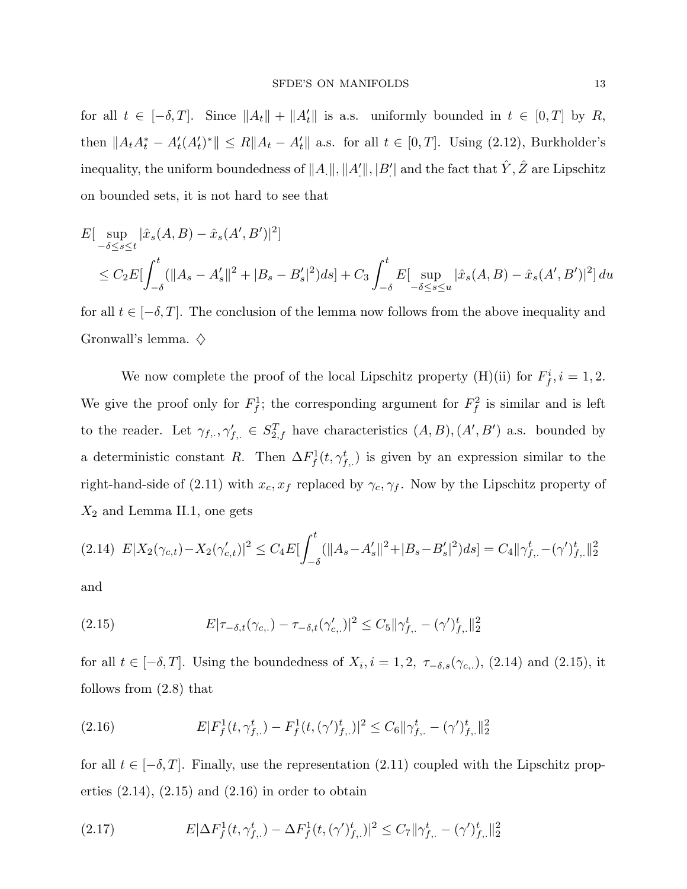for all  $t \in [-\delta, T]$ . Since  $||A_t|| + ||A'_t||$  is a.s. uniformly bounded in  $t \in [0, T]$  by R, then  $||A_t A_t^* - A_t'(A_t')^*|| \le R||A_t - A_t'||$  a.s. for all  $t \in [0, T]$ . Using (2.12), Burkholder's inequality, the uniform boundedness of  $\|A_\cdot\|, \|A_\cdot'\|, |B_\cdot'|$  and the fact that  $\hat{Y}, \hat{Z}$  are Lipschitz on bounded sets, it is not hard to see that

$$
E[\sup_{-\delta \le s \le t} |\hat{x}_s(A, B) - \hat{x}_s(A', B')|^2]
$$
  
\n
$$
\le C_2 E[\int_{-\delta}^t (||A_s - A'_s||^2 + |B_s - B'_s|^2) ds] + C_3 \int_{-\delta}^t E[\sup_{-\delta \le s \le u} |\hat{x}_s(A, B) - \hat{x}_s(A', B')|^2] du
$$

for all  $t \in [-\delta, T]$ . The conclusion of the lemma now follows from the above inequality and Gronwall's lemma.  $\diamondsuit$ 

We now complete the proof of the local Lipschitz property (H)(ii) for  $F_f^i$ ,  $i = 1, 2$ . We give the proof only for  $F_f^1$ ; the corresponding argument for  $F_f^2$  is similar and is left to the reader. Let  $\gamma_{f,\cdot}, \gamma'_{f,\cdot} \in S_{2,f}^T$  have characteristics  $(A, B), (A', B')$  a.s. bounded by a deterministic constant R. Then  $\Delta F_f^1(t, \gamma_{f,\cdot}^t)$  is given by an expression similar to the right-hand-side of (2.11) with  $x_c, x_f$  replaced by  $\gamma_c, \gamma_f$ . Now by the Lipschitz property of  $X_2$  and Lemma II.1, one gets

$$
(2.14)\ \ E|X_2(\gamma_{c,t}) - X_2(\gamma_{c,t}')|^2 \leq C_4 E\left[\int_{-\delta}^t (||A_s - A_s'||^2 + |B_s - B_s'|^2)ds\right] = C_4 \|\gamma_{f,.}^t - (\gamma')_{f,.}^t\|_2^2
$$

and

(2.15) 
$$
E|\tau_{-\delta,t}(\gamma_{c,.}) - \tau_{-\delta,t}(\gamma'_{c,.})|^2 \leq C_5 \|\gamma^t_{f,.} - (\gamma')^t_{f,.}\|_2^2
$$

for all  $t \in [-\delta, T]$ . Using the boundedness of  $X_i$ ,  $i = 1, 2, \tau_{-\delta,s}(\gamma_{c,.})$ , (2.14) and (2.15), it follows from (2.8) that

(2.16) 
$$
E|F_f^1(t, \gamma_{f, \cdot}^t) - F_f^1(t, (\gamma')_{f, \cdot}^t)|^2 \leq C_6 \|\gamma_{f, \cdot}^t - (\gamma')_{f, \cdot}^t\|_2^2
$$

for all  $t \in [-\delta, T]$ . Finally, use the representation (2.11) coupled with the Lipschitz properties  $(2.14)$ ,  $(2.15)$  and  $(2.16)$  in order to obtain

(2.17) 
$$
E|\Delta F_f^1(t, \gamma_{f, \cdot}^t) - \Delta F_f^1(t, (\gamma')_{f, \cdot}^t)|^2 \leq C_7 ||\gamma_{f, \cdot}^t - (\gamma')_{f, \cdot}^t||_2^2
$$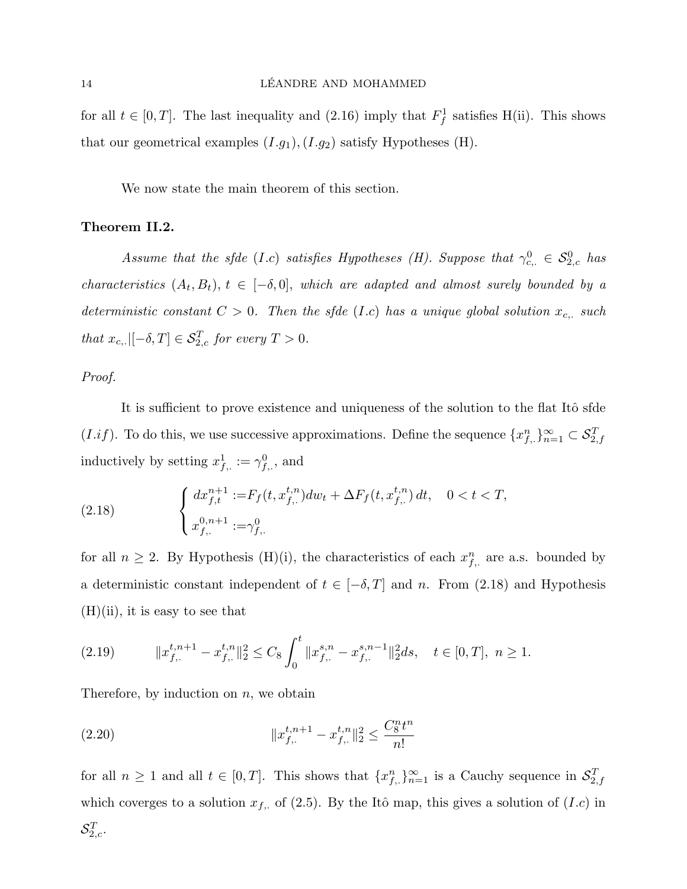for all  $t \in [0, T]$ . The last inequality and  $(2.16)$  imply that  $F_f^1$  satisfies H(ii). This shows that our geometrical examples  $(I.g_1), (I.g_2)$  satisfy Hypotheses (H).

We now state the main theorem of this section.

## Theorem II.2.

Assume that the sfde (I.c) satisfies Hypotheses (H). Suppose that  $\gamma_{c}^0 \in S_{2,c}^0$  has characteristics  $(A_t, B_t)$ ,  $t \in [-\delta, 0]$ , which are adapted and almost surely bounded by a deterministic constant  $C > 0$ . Then the sfde (I.c) has a unique global solution  $x_{c,+}$  such that  $x_{c,.}$ [ $-\delta, T$ ]  $\in \mathcal{S}_{2,c}^T$  for every  $T > 0$ .

## Proof.

It is sufficient to prove existence and uniqueness of the solution to the flat Itô sfde  $(I.if)$ . To do this, we use successive approximations. Define the sequence  $\{x_{f, .}^{n}\}_{n=1}^{\infty} \subset \mathcal{S}_{2, f}^{T}$ inductively by setting  $x_{f, \cdot}^1 := \gamma_{f, \cdot}^0$ , and

(2.18) 
$$
\begin{cases} dx_{f,t}^{n+1} := F_f(t, x_{f,.}^{t,n}) dw_t + \Delta F_f(t, x_{f,.}^{t,n}) dt, & 0 < t < T, \\ x_{f,.}^{0,n+1} := \gamma_{f,.}^0 \end{cases}
$$

for all  $n \geq 2$ . By Hypothesis (H)(i), the characteristics of each  $x_{f,\cdot}^n$  are a.s. bounded by a deterministic constant independent of  $t \in [-\delta, T]$  and n. From (2.18) and Hypothesis  $(H)(ii)$ , it is easy to see that

$$
(2.19) \qquad \qquad \|x_{f,.}^{t,n+1}-x_{f,.}^{t,n}\|_2^2 \leq C_8 \int_0^t \|x_{f,.}^{s,n}-x_{f,.}^{s,n-1}\|_2^2 ds, \quad t \in [0,T], \ n \geq 1.
$$

Therefore, by induction on  $n$ , we obtain

(2.20) 
$$
||x_{f,.}^{t,n+1} - x_{f,.}^{t,n}||_2^2 \le \frac{C_8^n t^n}{n!}
$$

for all  $n \geq 1$  and all  $t \in [0,T]$ . This shows that  $\{x_{f,\cdot}^n\}_{n=1}^{\infty}$  is a Cauchy sequence in  $\mathcal{S}_{2,f}^T$ which coverges to a solution  $x_{f, \cdot}$  of (2.5). By the Itô map, this gives a solution of  $(I.c)$  in  $\mathcal{S}_{2,c}^T.$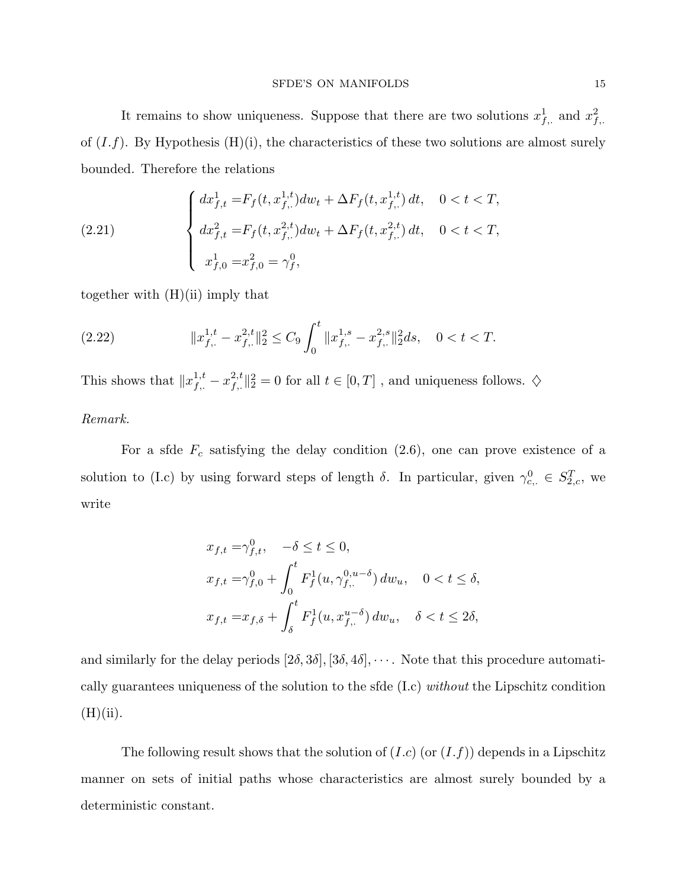It remains to show uniqueness. Suppose that there are two solutions  $x_{f_i}^1$  and  $x_{f_i}^2$ . of  $(I.f)$ . By Hypothesis  $(H)(i)$ , the characteristics of these two solutions are almost surely bounded. Therefore the relations

(2.21) 
$$
\begin{cases} dx_{f,t}^1 = F_f(t, x_{f,\cdot}^{1,t}) dw_t + \Delta F_f(t, x_{f,\cdot}^{1,t}) dt, & 0 < t < T, \\ dx_{f,t}^2 = F_f(t, x_{f,\cdot}^{2,t}) dw_t + \Delta F_f(t, x_{f,\cdot}^{2,t}) dt, & 0 < t < T, \\ x_{f,0}^1 = x_{f,0}^2 = \gamma_f^0, \end{cases}
$$

together with  $(H)(ii)$  imply that

(2.22) 
$$
||x_{f,.}^{1,t} - x_{f,.}^{2,t}||_2^2 \leq C_9 \int_0^t ||x_{f,.}^{1,s} - x_{f,.}^{2,s}||_2^2 ds, \quad 0 < t < T.
$$

This shows that  $||x_{f,:}^{1,t} - x_{f,:}^{2,t}||_2^2 = 0$  for all  $t \in [0,T]$ , and uniqueness follows.  $\diamondsuit$ 

## Remark.

For a sfde  $F_c$  satisfying the delay condition (2.6), one can prove existence of a solution to (I.c) by using forward steps of length  $\delta$ . In particular, given  $\gamma_{c,\alpha}^0 \in S_{2,c}^T$ , we write

$$
x_{f,t} = \gamma_{f,t}^0, \quad -\delta \le t \le 0,
$$
  
\n
$$
x_{f,t} = \gamma_{f,0}^0 + \int_0^t F_f^1(u, \gamma_{f,.}^{0, u - \delta}) dw_u, \quad 0 < t \le \delta,
$$
  
\n
$$
x_{f,t} = x_{f,\delta} + \int_{\delta}^t F_f^1(u, x_{f,.}^{u - \delta}) dw_u, \quad \delta < t \le 2\delta,
$$

and similarly for the delay periods  $[2\delta, 3\delta], [3\delta, 4\delta], \cdots$ . Note that this procedure automatically guarantees uniqueness of the solution to the sfde (I.c) without the Lipschitz condition  $(H)(ii).$ 

The following result shows that the solution of  $(I.c)$  (or  $(I.f)$ ) depends in a Lipschitz manner on sets of initial paths whose characteristics are almost surely bounded by a deterministic constant.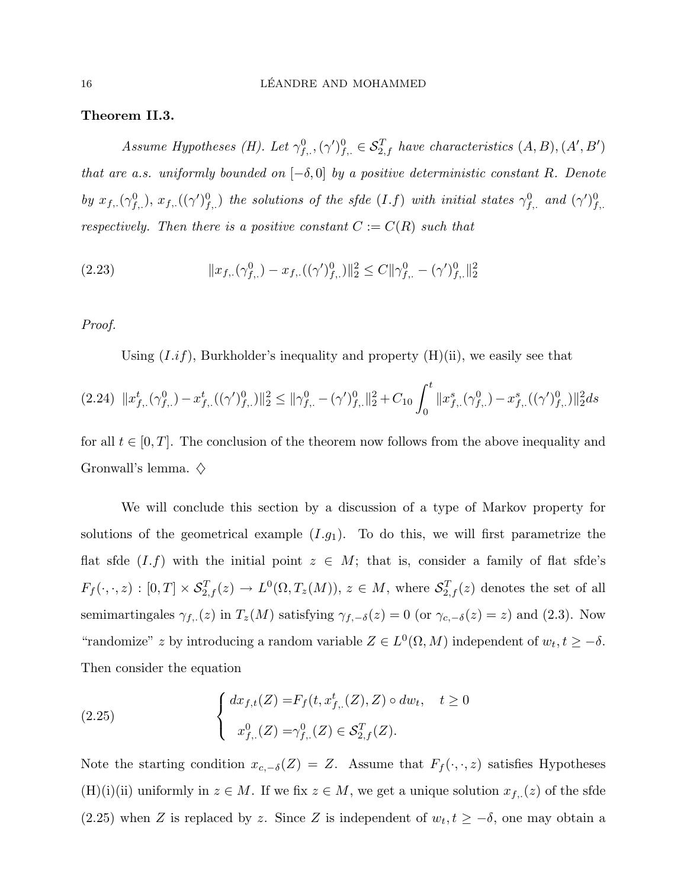## Theorem II.3.

Assume Hypotheses (H). Let  $\gamma_{f,.}^0$ ,  $(\gamma')_{f,.}^0 \in S_{2,f}^T$  have characteristics  $(A, B), (A', B')$ that are a.s. uniformly bounded on  $[-\delta, 0]$  by a positive deterministic constant R. Denote by  $x_{f,\cdot}(\gamma_{f,\cdot}^0), x_{f,\cdot}((\gamma')_{f,\cdot}^0)$  the solutions of the sfde  $(I.f)$  with initial states  $\gamma_{f,\cdot}^0$  and  $(\gamma')_{f,\cdot}^0$ respectively. Then there is a positive constant  $C := C(R)$  such that

(2.23) 
$$
||x_{f,.}(\gamma_{f,.}^0) - x_{f,.}((\gamma')_{f,.}^0)||_2^2 \leq C||\gamma_{f,.}^0 - (\gamma')_{f,.}^0||_2^2
$$

## Proof.

Using  $(I \cdot i f)$ , Burkholder's inequality and property  $(H)(ii)$ , we easily see that

$$
(2.24)\;\;\|x^t_{f,.}(\gamma^0_{f,.})-x^t_{f,.}((\gamma')^0_{f,.})\|_2^2\leq \|\gamma^0_{f,.}-(\gamma')^0_{f,.}\|_2^2+C_{10}\int_0^t\|x^s_{f,.}(\gamma^0_{f,.})-x^s_{f,.}((\gamma')^0_{f,.})\|_2^2ds
$$

for all  $t \in [0, T]$ . The conclusion of the theorem now follows from the above inequality and Gronwall's lemma.  $\diamondsuit$ 

We will conclude this section by a discussion of a type of Markov property for solutions of the geometrical example  $(I.g<sub>1</sub>)$ . To do this, we will first parametrize the flat sfde  $(I.f)$  with the initial point  $z \in M$ ; that is, consider a family of flat sfde's  $F_f(\cdot,\cdot,z):[0,T]\times\mathcal{S}_{2,f}^T(z)\to L^0(\Omega,T_z(M)),\,z\in M,$  where  $\mathcal{S}_{2,f}^T(z)$  denotes the set of all semimartingales  $\gamma_{f,\cdot}(z)$  in  $T_z(M)$  satisfying  $\gamma_{f,-\delta}(z) = 0$  (or  $\gamma_{c,-\delta}(z) = z$ ) and (2.3). Now "randomize" z by introducing a random variable  $Z \in L^{0}(\Omega, M)$  independent of  $w_t, t \geq -\delta$ . Then consider the equation

(2.25) 
$$
\begin{cases} dx_{f,t}(Z) = F_f(t, x_{f,.}^t(Z), Z) \circ dw_t, & t \ge 0 \\ x_{f,.}^0(Z) = \gamma_{f,.}^0(Z) \in \mathcal{S}_{2,f}^T(Z). \end{cases}
$$

Note the starting condition  $x_{c,-\delta}(Z) = Z$ . Assume that  $F_f(\cdot,\cdot,z)$  satisfies Hypotheses  $(H)(i)(ii)$  uniformly in  $z \in M$ . If we fix  $z \in M$ , we get a unique solution  $x_{f, \cdot}(z)$  of the sfde (2.25) when Z is replaced by z. Since Z is independent of  $w_t, t \geq -\delta$ , one may obtain a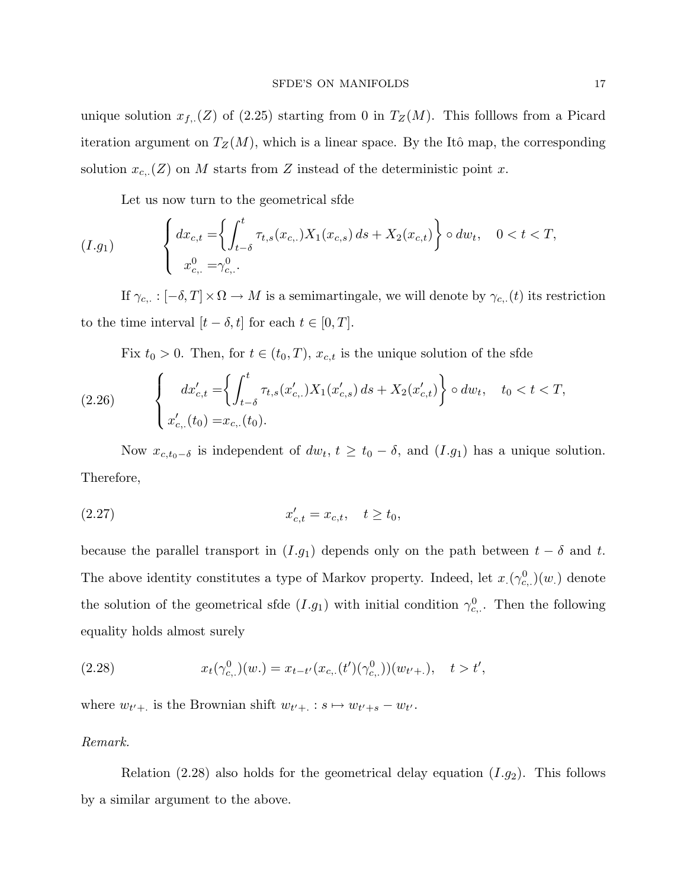unique solution  $x_{f,\cdot}(Z)$  of (2.25) starting from 0 in  $T_Z(M)$ . This folllows from a Picard iteration argument on  $T_Z(M)$ , which is a linear space. By the Itô map, the corresponding solution  $x_{c,.}(Z)$  on M starts from Z instead of the deterministic point x.

Let us now turn to the geometrical sfde

$$
(I.g_1) \qquad \left\{ \begin{array}{l} dx_{c,t} = \left\{ \int_{t-\delta}^t \tau_{t,s}(x_{c,.}) X_1(x_{c,s}) \, ds + X_2(x_{c,t}) \right\} \circ dw_t, \quad 0 < t < T, \\ x_{c,.}^0 = \gamma_{c,.}^0. \end{array} \right.
$$

If  $\gamma_{c,.}: [-\delta, T] \times \Omega \to M$  is a semimartingale, we will denote by  $\gamma_{c,.}(t)$  its restriction to the time interval  $[t - \delta, t]$  for each  $t \in [0, T]$ .

Fix  $t_0 > 0$ . Then, for  $t \in (t_0, T)$ ,  $x_{c,t}$  is the unique solution of the sfde

(2.26) 
$$
\begin{cases} dx'_{c,t} = \left\{ \int_{t-\delta}^t \tau_{t,s}(x'_{c,.}) X_1(x'_{c,s}) ds + X_2(x'_{c,t}) \right\} \circ dw_t, & t_0 < t < T, \\ x'_{c,.}(t_0) = x_{c,.}(t_0). \end{cases}
$$

Now  $x_{c,t_0-\delta}$  is independent of  $dw_t$ ,  $t \geq t_0 - \delta$ , and  $(I.g_1)$  has a unique solution. Therefore,

(2.27) 
$$
x'_{c,t} = x_{c,t}, \quad t \ge t_0,
$$

because the parallel transport in  $(I.g_1)$  depends only on the path between  $t - \delta$  and t. The above identity constitutes a type of Markov property. Indeed, let  $x_1(\gamma_{c}^0)(w_1)$  denote the solution of the geometrical sfde  $(I.g_1)$  with initial condition  $\gamma_{c}^0$ . Then the following equality holds almost surely

(2.28) 
$$
x_t(\gamma_{c,.}^0)(w.) = x_{t-t'}(x_{c,.}(t')(\gamma_{c,.}^0))(w_{t'+.}), \quad t > t',
$$

where  $w_{t'+\cdot}$  is the Brownian shift  $w_{t'+\cdot}: s \mapsto w_{t'+s} - w_{t'}$ .

## Remark.

Relation (2.28) also holds for the geometrical delay equation  $(I.g_2)$ . This follows by a similar argument to the above.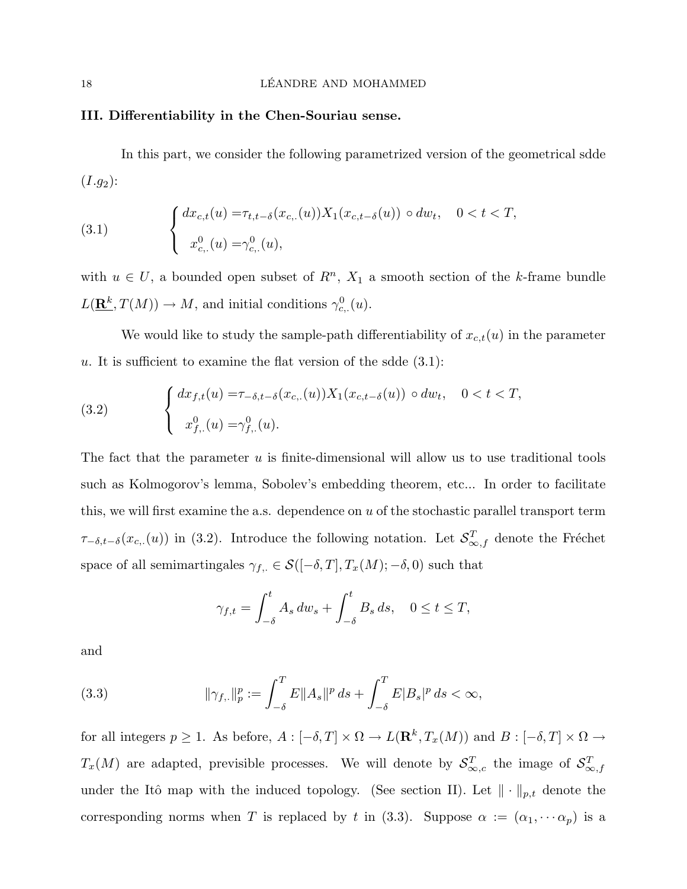## III. Differentiability in the Chen-Souriau sense.

In this part, we consider the following parametrized version of the geometrical sdde  $(I.g<sub>2</sub>)$ :

(3.1) 
$$
\begin{cases} dx_{c,t}(u) = \tau_{t,t-\delta}(x_{c,.}(u)) X_1(x_{c,t-\delta}(u)) \circ dw_t, & 0 < t < T, \\ x_{c,.}^0(u) = \gamma_{c,.}^0(u), \end{cases}
$$

with  $u \in U$ , a bounded open subset of  $R<sup>n</sup>$ ,  $X<sub>1</sub>$  a smooth section of the k-frame bundle  $L(\mathbf{R}^k, T(M)) \to M$ , and initial conditions  $\gamma_{c}^0(u)$ .

We would like to study the sample-path differentiability of  $x_{c,t}(u)$  in the parameter u. It is sufficient to examine the flat version of the sdde  $(3.1)$ :

(3.2) 
$$
\begin{cases} dx_{f,t}(u) = \tau_{-\delta,t-\delta}(x_{c,.}(u)) X_1(x_{c,t-\delta}(u)) \circ dw_t, & 0 < t < T, \\ x_{f,.}^0(u) = \gamma_{f,.}^0(u). \end{cases}
$$

The fact that the parameter  $u$  is finite-dimensional will allow us to use traditional tools such as Kolmogorov's lemma, Sobolev's embedding theorem, etc... In order to facilitate this, we will first examine the a.s. dependence on  $u$  of the stochastic parallel transport term  $\tau_{-\delta,t-\delta}(x_{c,(u)})$  in (3.2). Introduce the following notation. Let  $\mathcal{S}_{\infty,f}^T$  denote the Fréchet space of all semimartingales  $\gamma_{f,.} \in \mathcal{S}([-\delta,T], T_x(M); -\delta, 0)$  such that

$$
\gamma_{f,t} = \int_{-\delta}^{t} A_s \, dw_s + \int_{-\delta}^{t} B_s \, ds, \quad 0 \le t \le T,
$$

and

(3.3) 
$$
\|\gamma_{f,.}\|_p^p := \int_{-\delta}^T E \|A_s\|^p \, ds + \int_{-\delta}^T E |B_s|^p \, ds < \infty,
$$

for all integers  $p \geq 1$ . As before,  $A: [-\delta, T] \times \Omega \to L(\mathbf{R}^k, T_x(M))$  and  $B: [-\delta, T] \times \Omega \to$  $T_x(M)$  are adapted, previsible processes. We will denote by  $S_{\infty,c}^T$  the image of  $S_{\infty,f}^T$ under the Itô map with the induced topology. (See section II). Let  $\|\cdot\|_{p,t}$  denote the corresponding norms when T is replaced by t in (3.3). Suppose  $\alpha := (\alpha_1, \dots \alpha_p)$  is a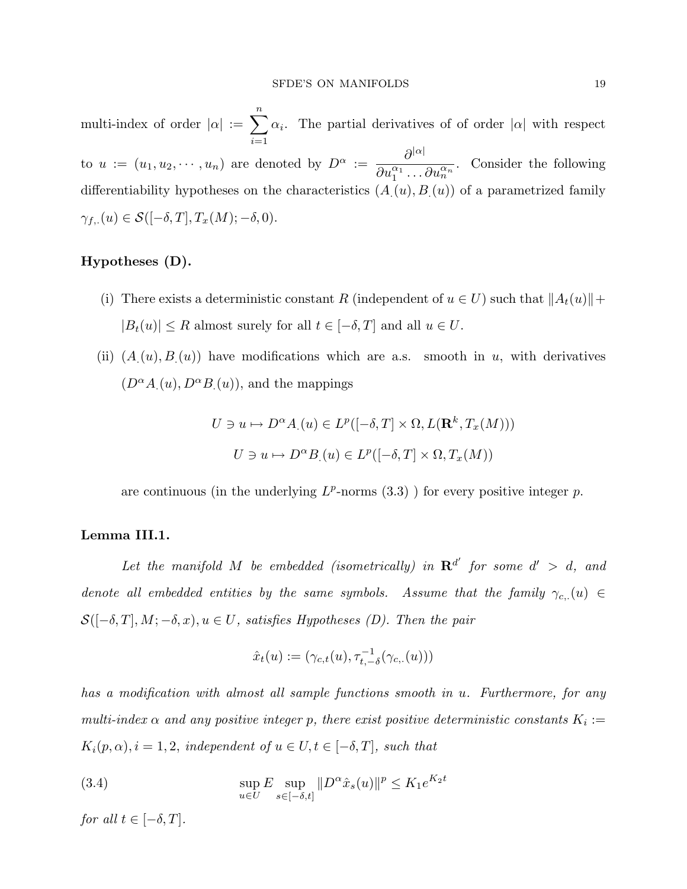multi-index of order  $|\alpha| := \sum_{n=1}^{\infty}$  $i=1$  $\alpha_i$ . The partial derivatives of of order  $|\alpha|$  with respect to  $u := (u_1, u_2, \dots, u_n)$  are denoted by  $D^{\alpha} := \frac{\partial^{|\alpha|}}{\partial \mu^{|\alpha|}}$  $\overline{\partial u_1^{\alpha_1}\dots\partial u_n^{\alpha_n}}$ . Consider the following differentiability hypotheses on the characteristics  $(A_{\cdot}(u), B_{\cdot}(u))$  of a parametrized family  $\gamma_{f,.}(u) \in \mathcal{S}([-\delta,T],T_x(M);-\delta,0).$ 

## Hypotheses (D).

- (i) There exists a deterministic constant R (independent of  $u \in U$ ) such that  $||A_t(u)|| +$  $|B_t(u)| \leq R$  almost surely for all  $t \in [-\delta,T]$  and all  $u \in U.$
- (ii)  $(A(u), B(u))$  have modifications which are a.s. smooth in u, with derivatives  $(D<sup>\alpha</sup>A_{\cdot}(u), D<sup>\alpha</sup>B_{\cdot}(u)),$  and the mappings

$$
U \ni u \mapsto D^{\alpha}A_{.}(u) \in L^{p}([-\delta, T] \times \Omega, L(\mathbf{R}^{k}, T_{x}(M)))
$$

$$
U \ni u \mapsto D^{\alpha}B_{.}(u) \in L^{p}([-\delta, T] \times \Omega, T_{x}(M))
$$

are continuous (in the underlying  $L^p$ -norms  $(3.3)$ ) for every positive integer p.

## Lemma III.1.

Let the manifold M be embedded (isometrically) in  $\mathbb{R}^{d'}$  for some  $d' > d$ , and denote all embedded entities by the same symbols. Assume that the family  $\gamma_{c,.}(u) \in$  $\mathcal{S}([-\delta,T],M;-\delta,x), u \in U$ , satisfies Hypotheses (D). Then the pair

$$
\hat{x}_t(u):=(\gamma_{c,t}(u),\tau_{t,-\delta}^{-1}(\gamma_{c,.}(u)))
$$

has a modification with almost all sample functions smooth in u. Furthermore, for any multi-index  $\alpha$  and any positive integer p, there exist positive deterministic constants  $K_i :=$  $K_i(p, \alpha), i = 1, 2,$  independent of  $u \in U, t \in [-\delta, T],$  such that

(3.4) 
$$
\sup_{u \in U} E \sup_{s \in [-\delta, t]} \| D^{\alpha} \hat{x}_s(u) \|^p \le K_1 e^{K_2 t}
$$

for all  $t \in [-\delta, T]$ .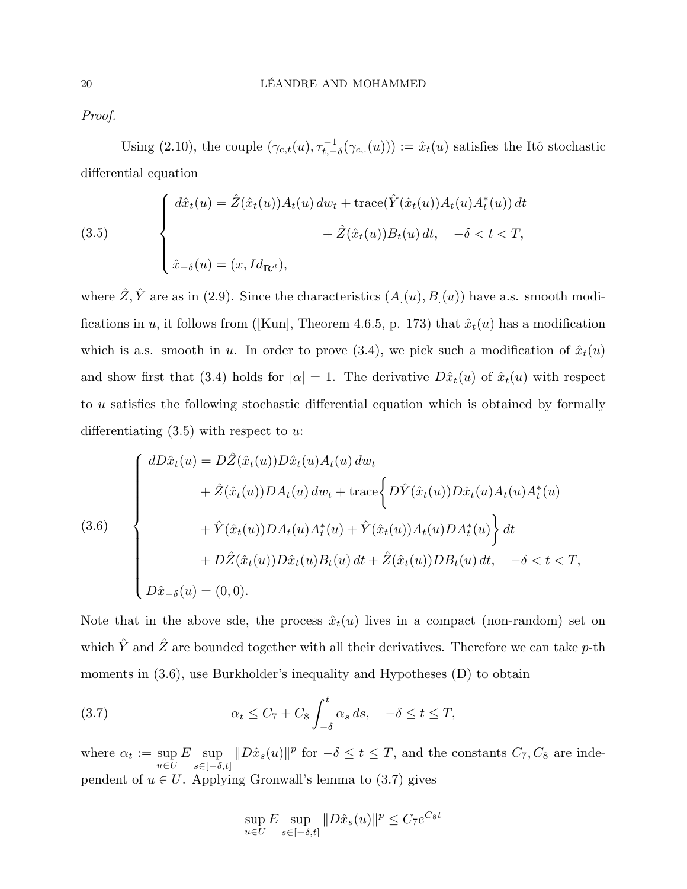Proof.

Using (2.10), the couple  $(\gamma_{c,t}(u), \tau_{t,-\delta}^{-1}(\gamma_{c,t}(u))) := \hat{x}_t(u)$  satisfies the Itô stochastic differential equation

(3.5)  

$$
\begin{cases}\n d\hat{x}_t(u) = \hat{Z}(\hat{x}_t(u))A_t(u) \, dw_t + \text{trace}(\hat{Y}(\hat{x}_t(u))A_t(u)A_t^*(u)) \, dt \\
 \qquad + \hat{Z}(\hat{x}_t(u))B_t(u) \, dt, \quad -\delta < t < T, \\
 \hat{x}_{-\delta}(u) = (x, Id_{\mathbf{R}^d}),\n\end{cases}
$$

where  $\hat{Z}, \hat{Y}$  are as in (2.9). Since the characteristics  $(A_{\cdot}(u), B_{\cdot}(u))$  have a.s. smooth modifications in u, it follows from ([Kun], Theorem 4.6.5, p. 173) that  $\hat{x}_t(u)$  has a modification which is a.s. smooth in u. In order to prove (3.4), we pick such a modification of  $\hat{x}_t(u)$ and show first that (3.4) holds for  $|\alpha| = 1$ . The derivative  $D\hat{x}_t(u)$  of  $\hat{x}_t(u)$  with respect to u satisfies the following stochastic differential equation which is obtained by formally differentiating  $(3.5)$  with respect to u:

(3.6)  

$$
\begin{cases}\n dD\hat{x}_t(u) = D\hat{Z}(\hat{x}_t(u))D\hat{x}_t(u)A_t(u) \, dw_t \\
 \qquad + \hat{Z}(\hat{x}_t(u))DA_t(u) \, dw_t + \text{trace}\bigg\{D\hat{Y}(\hat{x}_t(u))D\hat{x}_t(u)A_t(u)A_t^*(u) \\
 \qquad + \hat{Y}(\hat{x}_t(u))DA_t(u)A_t^*(u) + \hat{Y}(\hat{x}_t(u))A_t(u)DA_t^*(u)\bigg\} \, dt \\
 \qquad + D\hat{Z}(\hat{x}_t(u))D\hat{x}_t(u)B_t(u) \, dt + \hat{Z}(\hat{x}_t(u))DB_t(u) \, dt, \quad -\delta < t < T, \\
 D\hat{x}_{-\delta}(u) = (0,0).\n \end{cases}
$$

Note that in the above sde, the process  $\hat{x}_t(u)$  lives in a compact (non-random) set on which  $\hat{Y}$  and  $\hat{Z}$  are bounded together with all their derivatives. Therefore we can take  $p$ -th moments in  $(3.6)$ , use Burkholder's inequality and Hypotheses  $(D)$  to obtain

(3.7) 
$$
\alpha_t \leq C_7 + C_8 \int_{-\delta}^t \alpha_s ds, \quad -\delta \leq t \leq T,
$$

where  $\alpha_t := \sup$  $u \in U$  $E$  sup  $s\in[-\delta,t]$  $||D\hat{x}_s(u)||^p$  for  $-\delta \leq t \leq T$ , and the constants  $C_7, C_8$  are independent of  $u \in U$ . Applying Gronwall's lemma to (3.7) gives

$$
\sup_{u \in U} E \sup_{s \in [-\delta, t]} \|D\hat{x}_s(u)\|^p \le C_7 e^{C_8 t}
$$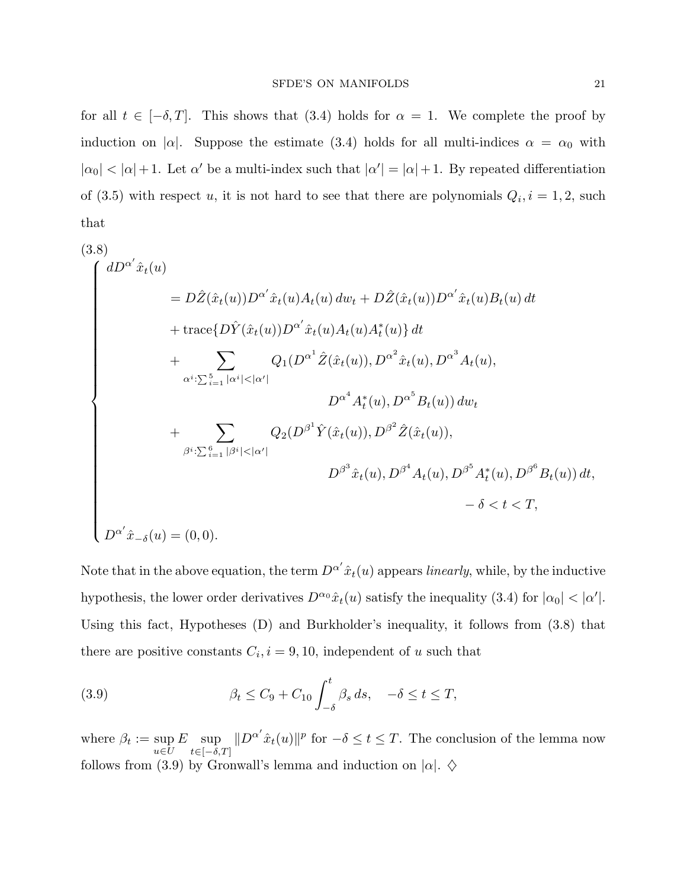for all  $t \in [-\delta, T]$ . This shows that (3.4) holds for  $\alpha = 1$ . We complete the proof by induction on  $|\alpha|$ . Suppose the estimate (3.4) holds for all multi-indices  $\alpha = \alpha_0$  with  $|\alpha_0| < |\alpha| + 1$ . Let  $\alpha'$  be a multi-index such that  $|\alpha'| = |\alpha| + 1$ . By repeated differentiation of (3.5) with respect u, it is not hard to see that there are polynomials  $Q_i$ ,  $i = 1, 2$ , such that

$$
(3.8)
$$
\n
$$
\begin{aligned}\n\int dD^{\alpha'} \hat{x}_t(u) &= D\hat{Z}(\hat{x}_t(u))D^{\alpha'} \hat{x}_t(u)A_t(u) \, dw_t + D\hat{Z}(\hat{x}_t(u))D^{\alpha'} \hat{x}_t(u)B_t(u) \, dt \\
&+ \text{trace}\{D\hat{Y}(\hat{x}_t(u))D^{\alpha'} \hat{x}_t(u)A_t(u)A_t^*(u)\} \, dt \\
&+ \sum_{\alpha^i:\sum_{i=1}^5 |\alpha^i| < |\alpha'|} Q_1(D^{\alpha^1} \hat{Z}(\hat{x}_t(u)), D^{\alpha^2} \hat{x}_t(u), D^{\alpha^3} A_t(u), \\
&+ \sum_{\beta^i:\sum_{i=1}^6 |\beta^i| < |\alpha'|} Q_2(D^{\beta^1} \hat{Y}(\hat{x}_t(u)), D^{\beta^2} \hat{Z}(\hat{x}_t(u)), \\
&+ D^{\beta^3} \hat{x}_t(u), D^{\beta^4} A_t(u), D^{\beta^5} A_t^*(u), D^{\beta^6} B_t(u)) \, dt, \\
&+ D^{\alpha'} \hat{x}_{-\delta}(u) = (0, 0).\n\end{aligned}
$$

Note that in the above equation, the term  $D^{\alpha'}\hat{x}_t(u)$  appears linearly, while, by the inductive hypothesis, the lower order derivatives  $D^{\alpha_0} \hat{x}_t(u)$  satisfy the inequality (3.4) for  $|\alpha_0| < |\alpha'|$ . Using this fact, Hypotheses (D) and Burkholder's inequality, it follows from (3.8) that there are positive constants  $C_i$ ,  $i = 9, 10$ , independent of u such that

(3.9) 
$$
\beta_t \leq C_9 + C_{10} \int_{-\delta}^t \beta_s ds, \quad -\delta \leq t \leq T,
$$

where  $\beta_t := \sup$  $u \in U$  $E$  sup  $t\in[-\delta,T]$  $||D^{\alpha'}\hat{x}_t(u)||^p$  for  $-\delta \leq t \leq T$ . The conclusion of the lemma now follows from (3.9) by Gronwall's lemma and induction on  $|\alpha|$ .  $\diamond$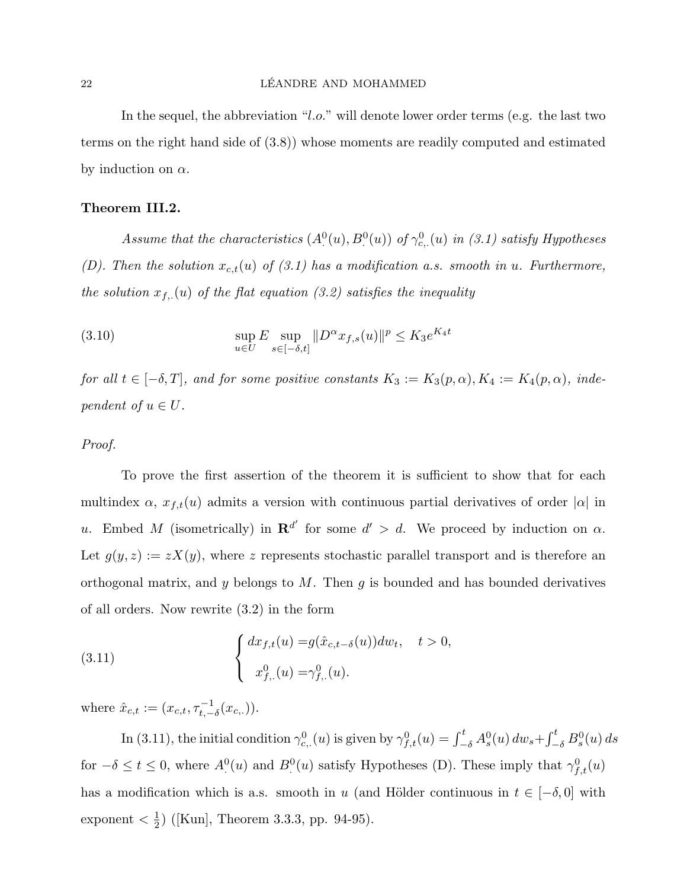## 22 LÉANDRE AND MOHAMMED

In the sequel, the abbreviation "l.o." will denote lower order terms (e.g. the last two terms on the right hand side of (3.8)) whose moments are readily computed and estimated by induction on  $\alpha$ .

## Theorem III.2.

Assume that the characteristics  $(A^0(u), B^0(u))$  of  $\gamma_{c}^0(u)$  in (3.1) satisfy Hypotheses (D). Then the solution  $x_{c,t}(u)$  of (3.1) has a modification a.s. smooth in u. Furthermore, the solution  $x_{f_n}(u)$  of the flat equation (3.2) satisfies the inequality

(3.10) 
$$
\sup_{u \in U} E \sup_{s \in [-\delta, t]} \|D^{\alpha} x_{f,s}(u)\|^p \leq K_3 e^{K_4 t}
$$

for all  $t \in [-\delta, T]$ , and for some positive constants  $K_3 := K_3(p, \alpha)$ ,  $K_4 := K_4(p, \alpha)$ , independent of  $u \in U$ .

## Proof.

To prove the first assertion of the theorem it is sufficient to show that for each multindex  $\alpha$ ,  $x_{f,t}(u)$  admits a version with continuous partial derivatives of order  $|\alpha|$  in u. Embed M (isometrically) in  $\mathbf{R}^{d'}$  for some  $d' > d$ . We proceed by induction on  $\alpha$ . Let  $g(y, z) := zX(y)$ , where z represents stochastic parallel transport and is therefore an orthogonal matrix, and y belongs to M. Then  $g$  is bounded and has bounded derivatives of all orders. Now rewrite (3.2) in the form

(3.11) 
$$
\begin{cases} dx_{f,t}(u) = g(\hat{x}_{c,t-\delta}(u))dw_t, & t > 0, \\ x_{f,.}^0(u) = \gamma_{f,.}^0(u). \end{cases}
$$

where  $\hat{x}_{c,t} := (x_{c,t}, \tau_{t,-\delta}^{-1}(x_{c,.}))$ .

In (3.11), the initial condition  $\gamma_{c,.}^0(u)$  is given by  $\gamma_{f,t}^0(u) = \int_{-\delta}^t A_s^0(u) dw_s +$  $\int_0^t$  $\int_{-\delta}^t B_s^0(u)\,ds$ for  $-\delta \leq t \leq 0$ , where  $A^{0}(u)$  and  $B^{0}(u)$  satisfy Hypotheses (D). These imply that  $\gamma_{f,t}^{0}(u)$ has a modification which is a.s. smooth in u (and Hölder continuous in  $t \in [-\delta, 0]$  with exponent  $\langle \frac{1}{2} \rangle$  $\frac{1}{2}$ ) ([Kun], Theorem 3.3.3, pp. 94-95).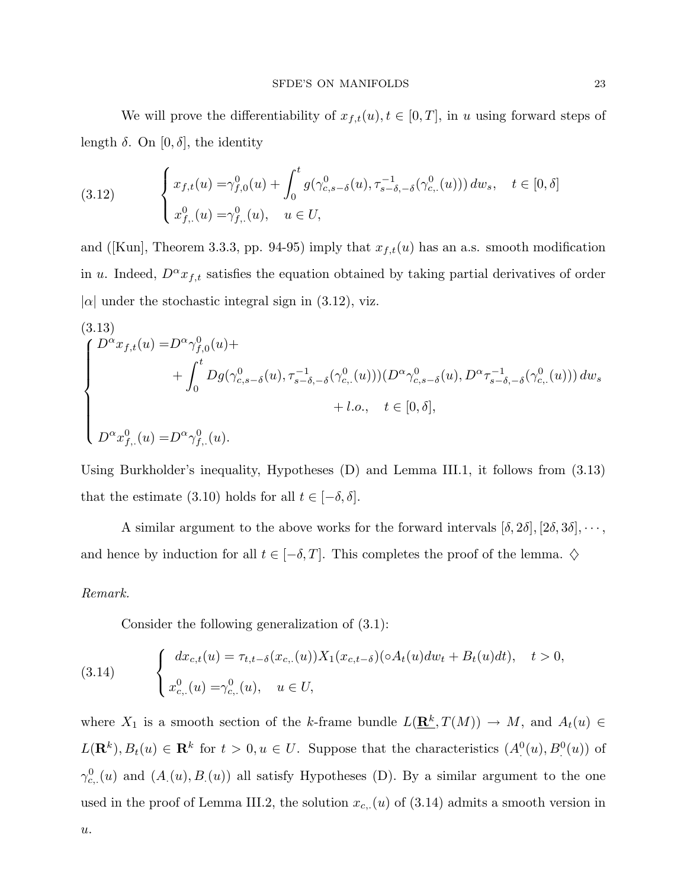We will prove the differentiability of  $x_{f,t}(u)$ ,  $t \in [0,T]$ , in u using forward steps of length  $\delta$ . On  $[0, \delta]$ , the identity

(3.12) 
$$
\begin{cases} x_{f,t}(u) = \gamma_{f,0}^0(u) + \int_0^t g(\gamma_{c,s-\delta}^0(u), \tau_{s-\delta,-\delta}^{-1}(\gamma_{c,.}^0(u))) dw_s, \quad t \in [0,\delta] \\ x_{f,.}^0(u) = \gamma_{f,.}^0(u), \quad u \in U, \end{cases}
$$

and ([Kun], Theorem 3.3.3, pp. 94-95) imply that  $x_{f,t}(u)$  has an a.s. smooth modification in u. Indeed,  $D^{\alpha}x_{f,t}$  satisfies the equation obtained by taking partial derivatives of order  $|\alpha|$  under the stochastic integral sign in (3.12), viz.

(3.13)  
\n
$$
\begin{cases}\nD^{\alpha}x_{f,t}(u) = D^{\alpha}\gamma_{f,0}^{0}(u) + \\
&+ \int_{0}^{t} Dg(\gamma_{c,s-\delta}^{0}(u), \tau_{s-\delta,-\delta}^{-1}(\gamma_{c,}^{0}(u)))(D^{\alpha}\gamma_{c,s-\delta}^{0}(u), D^{\alpha}\tau_{s-\delta,-\delta}^{-1}(\gamma_{c,}^{0}(u))) du_{s} \\
&+ l.o., \quad t \in [0, \delta], \\
D^{\alpha}x_{f,}^{0}(u) = D^{\alpha}\gamma_{f,0}^{0}(u).\n\end{cases}
$$

Using Burkholder's inequality, Hypotheses (D) and Lemma III.1, it follows from (3.13) that the estimate (3.10) holds for all  $t \in [-\delta, \delta]$ .

A similar argument to the above works for the forward intervals  $[\delta, 2\delta], [2\delta, 3\delta], \cdots$ , and hence by induction for all  $t \in [-\delta, T]$ . This completes the proof of the lemma.  $\diamondsuit$ 

## Remark.

Consider the following generalization of (3.1):

(3.14) 
$$
\begin{cases} dx_{c,t}(u) = \tau_{t,t-\delta}(x_{c,.}(u)) X_1(x_{c,t-\delta})(\circ A_t(u)dw_t + B_t(u)dt), & t > 0, \\ x_{c,.}^0(u) = \gamma_{c,.}^0(u), & u \in U, \end{cases}
$$

where  $X_1$  is a smooth section of the k-frame bundle  $L(\mathbf{R}^k, T(M)) \to M$ , and  $A_t(u) \in$  $L(\mathbf{R}^k), B_t(u) \in \mathbf{R}^k$  for  $t > 0, u \in U$ . Suppose that the characteristics  $(A<sup>0</sup>(u), B<sup>0</sup>(u))$  of  $\gamma_{c}^0(u)$  and  $(A_1(u), B_1(u))$  all satisfy Hypotheses (D). By a similar argument to the one used in the proof of Lemma III.2, the solution  $x_{c}$ . (u) of (3.14) admits a smooth version in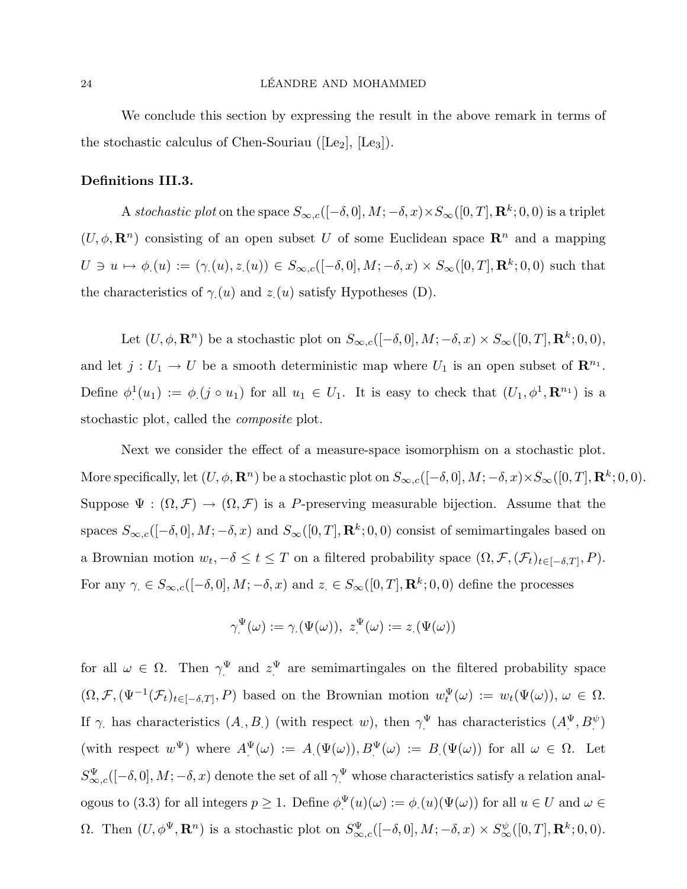We conclude this section by expressing the result in the above remark in terms of the stochastic calculus of Chen-Souriau ( $[Le_2]$ ,  $[Le_3]$ ).

## Definitions III.3.

A stochastic plot on the space  $S_{\infty,c}([-\delta,0], M; -\delta, x) \times S_{\infty}([0,T], \mathbf{R}^k; 0,0)$  is a triplet  $(U, \phi, \mathbf{R}^n)$  consisting of an open subset U of some Euclidean space  $\mathbf{R}^n$  and a mapping  $U \ni u \mapsto \phi(u) := (\gamma(u), z(u)) \in S_{\infty,c}([-\delta, 0], M; -\delta, x) \times S_{\infty}([0, T], \mathbf{R}^k; 0, 0)$  such that the characteristics of  $\gamma(u)$  and  $z(u)$  satisfy Hypotheses (D).

Let  $(U, \phi, \mathbf{R}^n)$  be a stochastic plot on  $S_{\infty,c}([-\delta, 0], M; -\delta, x) \times S_{\infty}([0, T], \mathbf{R}^k; 0, 0),$ and let  $j: U_1 \to U$  be a smooth deterministic map where  $U_1$  is an open subset of  $\mathbb{R}^{n_1}$ . Define  $\phi_1^1(u_1) := \phi_1(j \circ u_1)$  for all  $u_1 \in U_1$ . It is easy to check that  $(U_1, \phi_1^1, \mathbf{R}^{n_1})$  is a stochastic plot, called the composite plot.

Next we consider the effect of a measure-space isomorphism on a stochastic plot. More specifically, let  $(U, \phi, \mathbf{R}^n)$  be a stochastic plot on  $S_{\infty,c}([-\delta, 0], M; -\delta, x) \times S_{\infty}([0, T], \mathbf{R}^k; 0, 0)$ . Suppose  $\Psi : (\Omega, \mathcal{F}) \to (\Omega, \mathcal{F})$  is a P-preserving measurable bijection. Assume that the spaces  $S_{\infty,c}([-\delta,0], M; -\delta, x)$  and  $S_{\infty}([0,T], \mathbf{R}^k; 0,0)$  consist of semimartingales based on a Brownian motion  $w_t, -\delta \leq t \leq T$  on a filtered probability space  $(\Omega, \mathcal{F}, (\mathcal{F}_t)_{t\in[-\delta,T]}, P)$ . For any  $\gamma \in S_{\infty,c}([-\delta,0],M;-\delta,x)$  and  $z \in S_{\infty}([0,T],\mathbf{R}^k;0,0)$  define the processes

$$
\gamma^{\Psi}(\omega) := \gamma(\Psi(\omega)), \ z^{\Psi}(\omega) := z(\Psi(\omega))
$$

for all  $\omega \in \Omega$ . Then  $\gamma^{\Psi}$  and  $z^{\Psi}$  are semimartingales on the filtered probability space  $(\Omega, \mathcal{F}, (\Psi^{-1}(\mathcal{F}_t)_{t\in[-\delta,T]}, P)$  based on the Brownian motion  $w_t^{\Psi}(\omega) := w_t(\Psi(\omega)), \omega \in \Omega$ . If  $\gamma$  has characteristics  $(A, B)$  (with respect w), then  $\gamma^{\Psi}$  has characteristics  $(A^{\Psi}, B^{\psi})$ (with respect  $w^{\Psi}$ ) where  $A^{\Psi}(\omega) := A(\Psi(\omega)), B^{\Psi}(\omega) := B(\Psi(\omega))$  for all  $\omega \in \Omega$ . Let  $S_{\infty,c}^{\Psi}([-\delta,0],M;-\delta,x)$  denote the set of all  $\gamma^{\Psi}$  whose characteristics satisfy a relation analogous to (3.3) for all integers  $p \ge 1$ . Define  $\phi^{\Psi}(u)(\omega) := \phi(u)(\Psi(\omega))$  for all  $u \in U$  and  $\omega \in$ Ω. Then  $(U, φ^{\Psi}, \mathbf{R}^n)$  is a stochastic plot on  $S_{\infty,c}^{\Psi}([-\delta,0], M; -\delta, x) \times S_{\infty}^{\psi}([0,T], \mathbf{R}^k; 0,0)$ .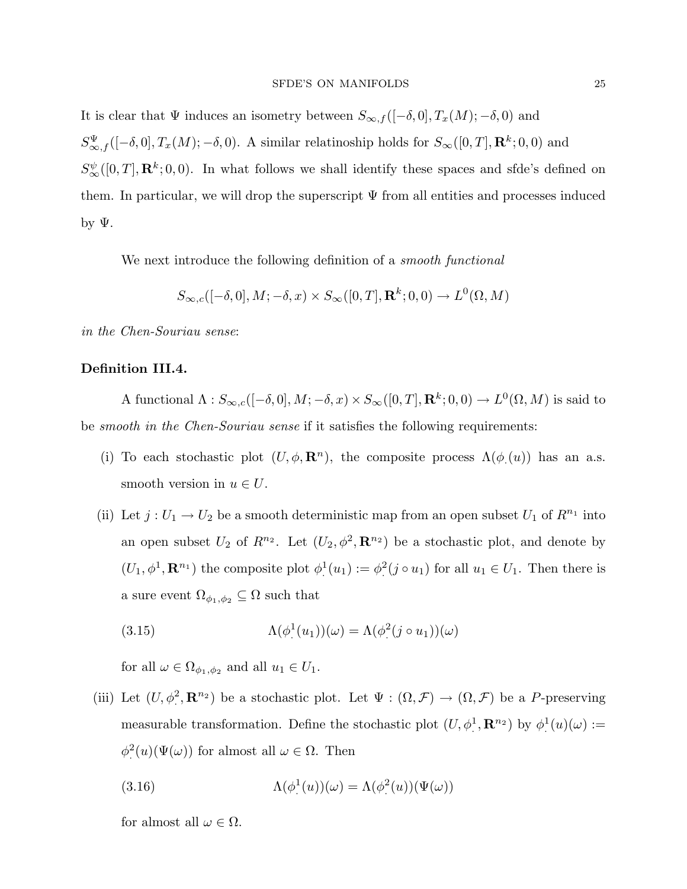It is clear that  $\Psi$  induces an isometry between  $S_{\infty,f}([-\delta,0],T_x(M);-\delta,0)$  and  $S_{\infty,f}^{\Psi}([-\delta,0],T_x(M);-\delta,0)$ . A similar relatinoship holds for  $S_{\infty}([0,T],\mathbf{R}^k;0,0)$  and  $S^{\psi}_{\infty}([0,T], \mathbf{R}^k; 0,0)$ . In what follows we shall identify these spaces and sfde's defined on them. In particular, we will drop the superscript  $\Psi$  from all entities and processes induced by  $\Psi$ .

We next introduce the following definition of a *smooth functional* 

$$
S_{\infty,c}([-\delta,0],M;-\delta,x)\times S_{\infty}([0,T],\mathbf{R}^k;0,0)\to L^0(\Omega,M)
$$

in the Chen-Souriau sense:

## Definition III.4.

A functional  $\Lambda: S_{\infty,c}([-\delta,0], M; -\delta, x) \times S_{\infty}([0,T], \mathbf{R}^k; 0,0) \to L^0(\Omega, M)$  is said to be *smooth in the Chen-Souriau sense* if it satisfies the following requirements:

- (i) To each stochastic plot  $(U, \phi, \mathbf{R}^n)$ , the composite process  $\Lambda(\phi(u))$  has an a.s. smooth version in  $u \in U$ .
- (ii) Let  $j: U_1 \to U_2$  be a smooth deterministic map from an open subset  $U_1$  of  $R^{n_1}$  into an open subset  $U_2$  of  $R^{n_2}$ . Let  $(U_2, \phi^2, \mathbf{R}^{n_2})$  be a stochastic plot, and denote by  $(U_1, \phi^1, \mathbf{R}^{n_1})$  the composite plot  $\phi^1(u_1) := \phi^2(j \circ u_1)$  for all  $u_1 \in U_1$ . Then there is a sure event  $\Omega_{\phi_1,\phi_2} \subseteq \Omega$  such that

(3.15) 
$$
\Lambda(\phi^1(u_1))(\omega) = \Lambda(\phi^2(j \circ u_1))(\omega)
$$

for all  $\omega \in \Omega_{\phi_1, \phi_2}$  and all  $u_1 \in U_1$ .

(iii) Let  $(U, \phi^2, \mathbf{R}^{n_2})$  be a stochastic plot. Let  $\Psi : (\Omega, \mathcal{F}) \to (\Omega, \mathcal{F})$  be a P-preserving measurable transformation. Define the stochastic plot  $(U, \phi^1, \mathbf{R}^{n_2})$  by  $\phi^1(u)(\omega) :=$  $\phi^2(u)(\Psi(\omega))$  for almost all  $\omega \in \Omega$ . Then

(3.16) 
$$
\Lambda(\phi^1(u))(\omega) = \Lambda(\phi^2(u))(\Psi(\omega))
$$

for almost all  $\omega \in \Omega$ .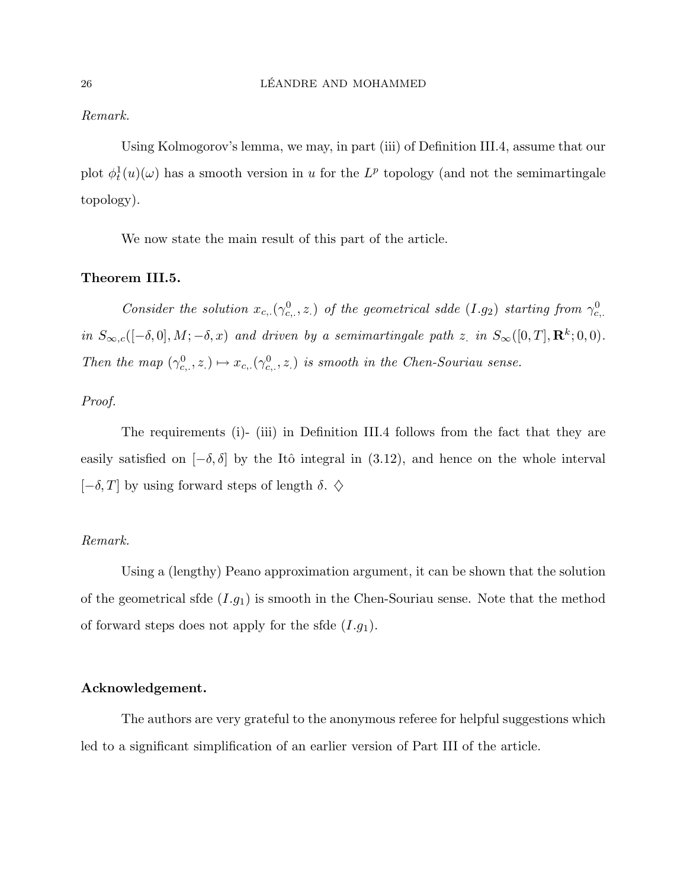## Remark.

Using Kolmogorov's lemma, we may, in part (iii) of Definition III.4, assume that our plot  $\phi_t^1(u)(\omega)$  has a smooth version in u for the  $L^p$  topology (and not the semimartingale topology).

We now state the main result of this part of the article.

## Theorem III.5.

Consider the solution  $x_{c,\cdot}(\gamma_{c,\cdot}^0,z_\cdot)$  of the geometrical sdde  $(I.g_2)$  starting from  $\gamma_{c,\cdot}^0$ in  $S_{\infty,c}([-\delta,0], M; -\delta, x)$  and driven by a semimartingale path z. in  $S_{\infty}([0,T], \mathbf{R}^k; 0,0)$ . Then the map  $(\gamma_{c,.}^0, z.) \mapsto x_{c,.}(\gamma_{c,.}^0, z.)$  is smooth in the Chen-Souriau sense.

## Proof.

The requirements (i)- (iii) in Definition III.4 follows from the fact that they are easily satisfied on  $[-\delta, \delta]$  by the Itô integral in (3.12), and hence on the whole interval  $[-\delta, T]$  by using forward steps of length  $\delta$ .  $\diamondsuit$ 

## Remark.

Using a (lengthy) Peano approximation argument, it can be shown that the solution of the geometrical sfde  $(I.g_1)$  is smooth in the Chen-Souriau sense. Note that the method of forward steps does not apply for the sfde  $(I.g<sub>1</sub>)$ .

## Acknowledgement.

The authors are very grateful to the anonymous referee for helpful suggestions which led to a significant simplification of an earlier version of Part III of the article.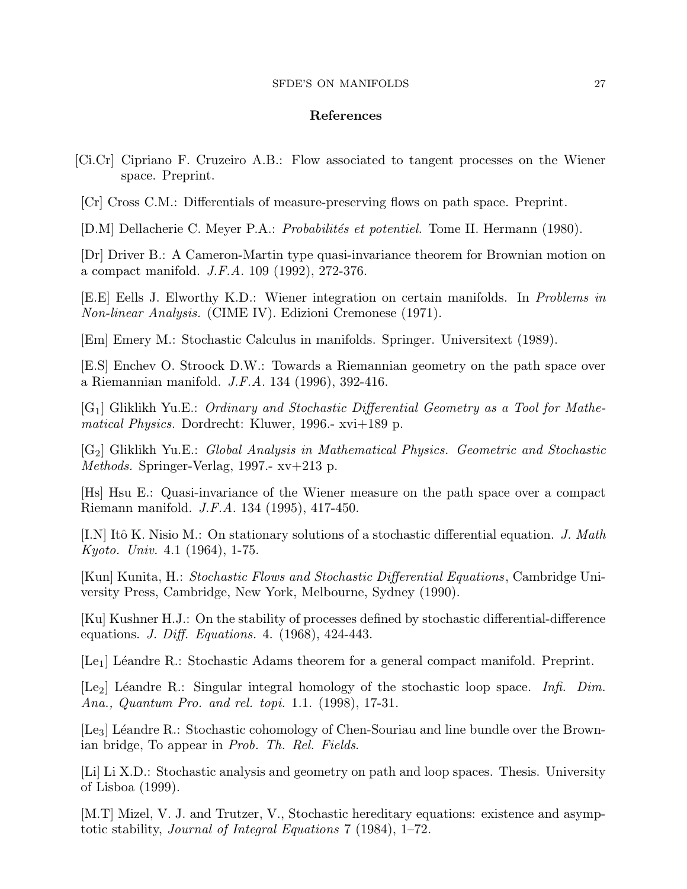#### SFDE'S ON MANIFOLDS 27

## References

- [Ci.Cr] Cipriano F. Cruzeiro A.B.: Flow associated to tangent processes on the Wiener space. Preprint.
- [Cr] Cross C.M.: Differentials of measure-preserving flows on path space. Preprint.

[D.M] Dellacherie C. Meyer P.A.: *Probabilités et potentiel.* Tome II. Hermann (1980).

[Dr] Driver B.: A Cameron-Martin type quasi-invariance theorem for Brownian motion on a compact manifold. J.F.A. 109 (1992), 272-376.

[E.E] Eells J. Elworthy K.D.: Wiener integration on certain manifolds. In Problems in Non-linear Analysis. (CIME IV). Edizioni Cremonese (1971).

[Em] Emery M.: Stochastic Calculus in manifolds. Springer. Universitext (1989).

[E.S] Enchev O. Stroock D.W.: Towards a Riemannian geometry on the path space over a Riemannian manifold. J.F.A. 134 (1996), 392-416.

[G1] Gliklikh Yu.E.: Ordinary and Stochastic Differential Geometry as a Tool for Mathematical Physics. Dordrecht: Kluwer, 1996.- xvi+189 p.

 $[G_2]$  Gliklikh Yu.E.: Global Analysis in Mathematical Physics. Geometric and Stochastic Methods. Springer-Verlag, 1997.- xv+213 p.

[Hs] Hsu E.: Quasi-invariance of the Wiener measure on the path space over a compact Riemann manifold. J.F.A. 134 (1995), 417-450.

[I.N] Itô K. Nisio M.: On stationary solutions of a stochastic differential equation. J. Math Kyoto. Univ. 4.1 (1964), 1-75.

[Kun] Kunita, H.: Stochastic Flows and Stochastic Differential Equations, Cambridge University Press, Cambridge, New York, Melbourne, Sydney (1990).

[Ku] Kushner H.J.: On the stability of processes defined by stochastic differential-difference equations. J. Diff. Equations. 4. (1968), 424-443.

 $[Le_1]$  Léandre R.: Stochastic Adams theorem for a general compact manifold. Preprint.

[Le<sub>2</sub>] Léandre R.: Singular integral homology of the stochastic loop space. Infi. Dim. Ana., Quantum Pro. and rel. topi. 1.1. (1998), 17-31.

[Le<sub>3</sub>] Léandre R.: Stochastic cohomology of Chen-Souriau and line bundle over the Brownian bridge, To appear in Prob. Th. Rel. Fields.

[Li] Li X.D.: Stochastic analysis and geometry on path and loop spaces. Thesis. University of Lisboa (1999).

[M.T] Mizel, V. J. and Trutzer, V., Stochastic hereditary equations: existence and asymptotic stability, Journal of Integral Equations 7 (1984), 1–72.